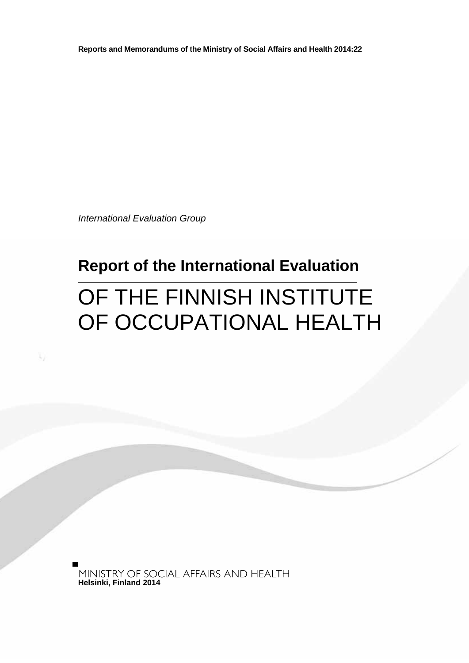**Reports and Memorandums of the Ministry of Social Affairs and Health 2014:22**

*International Evaluation Group*

## **Report of the International Evaluation**

# OF THE FINNISH INSTITUTE OF OCCUPATIONAL HEALTH

**Helsinki, Finland 2014**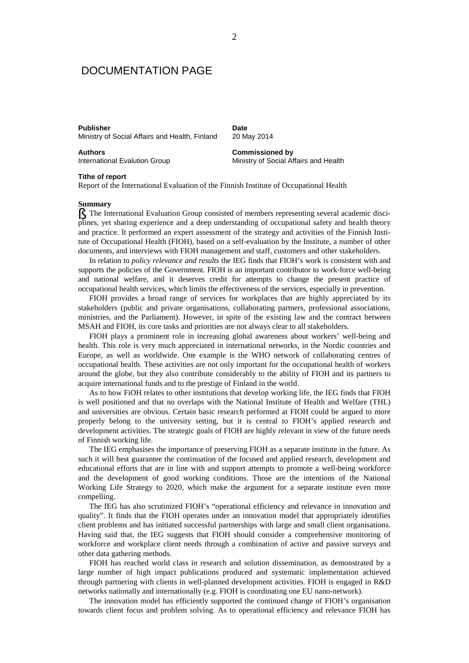## DOCUMENTATION PAGE

Ministry of Social Affairs and Health, Finland

**Publisher Date**

**Authors**<br> **Authors**<br> **Commissioned by**<br> **Commissioned by**<br> **Commissioned by**<br> **Commissioned by**<br> **Commissioned by** 

Ministry of Social Affairs and Health

#### **Tithe of report**

Report of the International Evaluation of the Finnish Institute of Occupational Health

#### **Summary**

§ The International Evaluation Group consisted of members representing several academic disciplines, yet sharing experience and a deep understanding of occupational safety and health theory and practice. It performed an expert assessment of the strategy and activities of the Finnish Institute of Occupational Health (FIOH), based on a self-evaluation by the Institute, a number of other documents, and interviews with FIOH management and staff, customers and other stakeholders.

In relation to *policy relevance and results* the IEG finds that FIOH's work is consistent with and supports the policies of the Government. FIOH is an important contributor to work-force well-being and national welfare, and it deserves credit for attempts to change the present practice of occupational health services, which limits the effectiveness of the services, especially in prevention.

FIOH provides a broad range of services for workplaces that are highly appreciated by its stakeholders (public and private organisations, collaborating partners, professional associations, ministries, and the Parliament). However, in spite of the existing law and the contract between MSAH and FIOH, its core tasks and priorities are not always clear to all stakeholders.

FIOH plays a prominent role in increasing global awareness about workers' well-being and health. This role is very much appreciated in international networks, in the Nordic countries and Europe, as well as worldwide. One example is the WHO network of collaborating centres of occupational health. These activities are not only important for the occupational health of workers around the globe, but they also contribute considerably to the ability of FIOH and its partners to acquire international funds and to the prestige of Finland in the world.

As to how FiOH relates to other institutions that develop working life, the IEG finds that FIOH is well positioned and that no overlaps with the National Institute of Health and Welfare (THL) and universities are obvious. Certain basic research performed at FIOH could be argued to more properly belong to the university setting, but it is central to FIOH's applied research and development activities. The strategic goals of FIOH are highly relevant in view of the future needs of Finnish working life.

The IEG emphasises the importance of preserving FIOH as a separate institute in the future. As such it will best guarantee the continuation of the focused and applied research, development and educational efforts that are in line with and support attempts to promote a well-being workforce and the development of good working conditions. Those are the intentions of the National Working Life Strategy to 2020, which make the argument for a separate institute even more compelling.

The IEG has also scrutinized FIOH's "operational efficiency and relevance in innovation and quality". It finds that the FIOH operates under an innovation model that appropriately identifies client problems and has initiated successful partnerships with large and small client organisations. Having said that, the IEG suggests that FIOH should consider a comprehensive monitoring of workforce and workplace client needs through a combination of active and passive surveys and other data gathering methods.

FIOH has reached world class in research and solution dissemination, as demonstrated by a large number of high impact publications produced and systematic implementation achieved through partnering with clients in well-planned development activities. FIOH is engaged in R&D networks nationally and internationally (e.g. FIOH is coordinating one EU nano-network).

The innovation model has efficiently supported the continued change of FIOH's organisation towards client focus and problem solving. As to operational efficiency and relevance FIOH has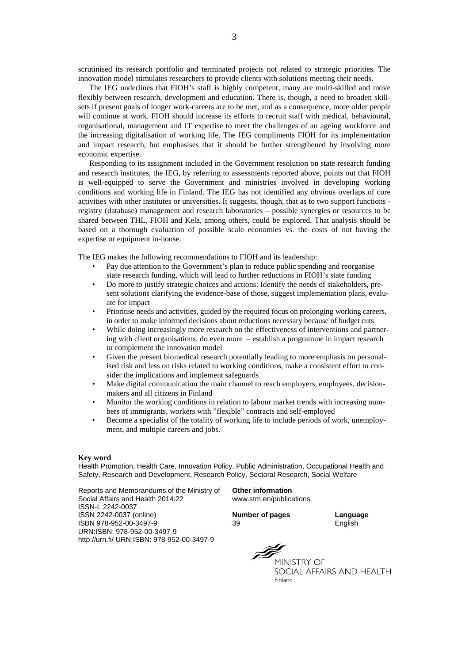scrutinised its research portfolio and terminated projects not related to strategic priorities. The innovation model stimulates researchers to provide clients with solutions meeting their needs.

The IEG underlines that FIOH's staff is highly competent, many are multi-skilled and move flexibly between research, development and education. There is, though, a need to broaden skillsets if present goals of longer work-careers are to be met, and as a consequence, more older people will continue at work. FIOH should increase its efforts to recruit staff with medical, behavioural, organisational, management and IT expertise to meet the challenges of an ageing workforce and the increasing digitalisation of working life. The IEG compliments FIOH for its implementation and impact research, but emphasises that it should be further strengthened by involving more economic expertise.

Responding to its assignment included in the Government resolution on state research funding and research institutes, the IEG, by referring to assessments reported above, points out that FIOH is well-equipped to serve the Government and ministries involved in developing working conditions and working life in Finland. The IEG has not identified any obvious overlaps of core activities with other institutes or universities. It suggests, though, that as to two support functions registry (database) management and research laboratories – possible synergies or resources to be shared between THL, FIOH and Kela, among others, could be explored. That analysis should be based on a thorough evaluation of possible scale economies vs. the costs of not having the expertise or equipment in-house.

The IEG makes the following recommendations to FIOH and its leadership:

- Pay due attention to the Government's plan to reduce public spending and reorganise state research funding, which will lead to further reductions in FIOH's state funding
- Do more to justify strategic choices and actions: Identify the needs of stakeholders, present solutions clarifying the evidence-base of those, suggest implementation plans, evaluate for impact
- Prioritise needs and activities, guided by the required focus on prolonging working careers, in order to make informed decisions about reductions necessary because of budget cuts
- While doing increasingly more research on the effectiveness of interventions and partnering with client organisations, do even more – establish a programme in impact research to complement the innovation model
- Given the present biomedical research potentially leading to more emphasis on personalised risk and less on risks related to working conditions, make a consistent effort to consider the implications and implement safeguards
- Make digital communication the main channel to reach employers, employees, decisionmakers and all citizens in Finland
- Monitor the working conditions in relation to labour market trends with increasing numbers of immigrants, workers with "flexible" contracts and self-employed
- Become a specialist of the totality of working life to include periods of work, unemployment, and multiple careers and jobs.

#### **Key word**

Health Promotion, Health Care, Innovation Policy, Public Administration, Occupational Health and Safety, Research and Development, Research Policy, Sectoral Research, Social Welfare

Reports and Memorandums of the Ministry of **Other information** Social Affairs and Health 2014:22 ISSN-L 2242-0037 ISSN 2242-0037 (online) **Number of pages Language** ISBN 978-952-00-3497-9 39 English URN:ISBN: 978-952-00-3497-9 http://urn.fi/ URN:ISBN: 978-952-00-3497-9

MINISTRY OF

SOCIAL AFFAIRS AND HEALTH Finland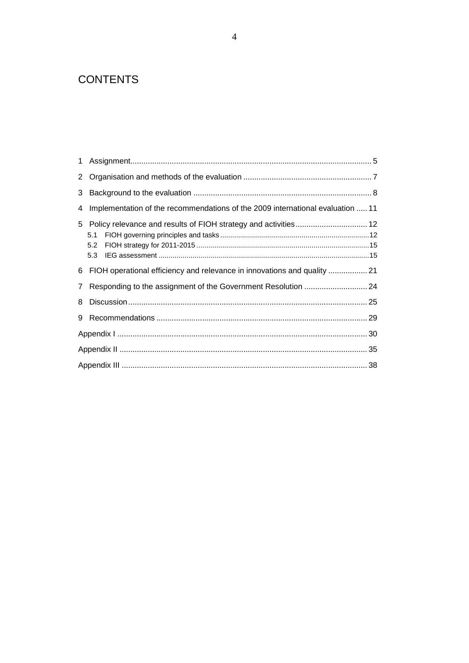## **CONTENTS**

| $\mathbf{1}$   |                                                                                |  |
|----------------|--------------------------------------------------------------------------------|--|
| $\overline{2}$ |                                                                                |  |
| 3              |                                                                                |  |
| 4              | Implementation of the recommendations of the 2009 international evaluation  11 |  |
|                | 5.1<br>5.2<br>5.3                                                              |  |
|                | 6 FIOH operational efficiency and relevance in innovations and quality         |  |
| $\mathbf{7}$   |                                                                                |  |
| 8              |                                                                                |  |
| 9              |                                                                                |  |
|                |                                                                                |  |
|                |                                                                                |  |
|                |                                                                                |  |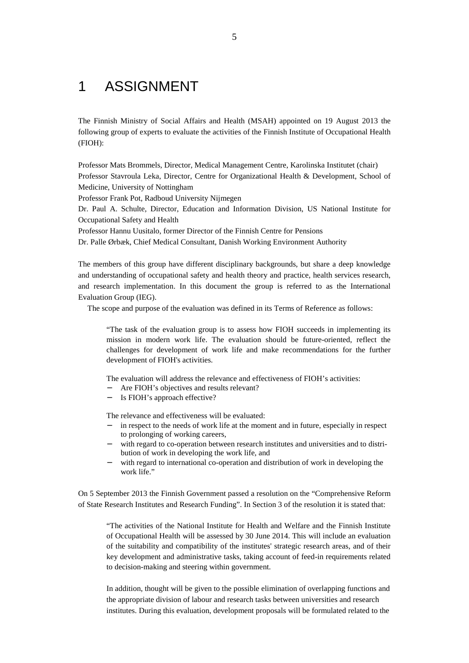## 1 ASSIGNMENT

The Finnish Ministry of Social Affairs and Health (MSAH) appointed on 19 August 2013 the following group of experts to evaluate the activities of the Finnish Institute of Occupational Health (FIOH):

Professor Mats Brommels, Director, Medical Management Centre, Karolinska Institutet (chair) Professor Stavroula Leka, Director, Centre for Organizational Health & Development, School of Medicine, University of Nottingham

Professor Frank Pot, Radboud University Nijmegen

Dr. Paul A. Schulte, Director, Education and Information Division, US National Institute for Occupational Safety and Health

Professor Hannu Uusitalo, former Director of the Finnish Centre for Pensions

Dr. Palle Ørbæk, Chief Medical Consultant, Danish Working Environment Authority

The members of this group have different disciplinary backgrounds, but share a deep knowledge and understanding of occupational safety and health theory and practice, health services research, and research implementation. In this document the group is referred to as the International Evaluation Group (IEG).

The scope and purpose of the evaluation was defined in its Terms of Reference as follows:

"The task of the evaluation group is to assess how FIOH succeeds in implementing its mission in modern work life. The evaluation should be future-oriented, reflect the challenges for development of work life and make recommendations for the further development of FIOH's activities.

The evaluation will address the relevance and effectiveness of FIOH's activities:

- Are FIOH's objectives and results relevant?
- Is FIOH's approach effective?

The relevance and effectiveness will be evaluated:

- in respect to the needs of work life at the moment and in future, especially in respect to prolonging of working careers,
- with regard to co-operation between research institutes and universities and to distribution of work in developing the work life, and
- with regard to international co-operation and distribution of work in developing the work life."

On 5 September 2013 the Finnish Government passed a resolution on the "Comprehensive Reform of State Research Institutes and Research Funding". In Section 3 of the resolution it is stated that:

"The activities of the National Institute for Health and Welfare and the Finnish Institute of Occupational Health will be assessed by 30 June 2014. This will include an evaluation of the suitability and compatibility of the institutes' strategic research areas, and of their key development and administrative tasks, taking account of feed-in requirements related to decision-making and steering within government.

In addition, thought will be given to the possible elimination of overlapping functions and the appropriate division of labour and research tasks between universities and research institutes. During this evaluation, development proposals will be formulated related to the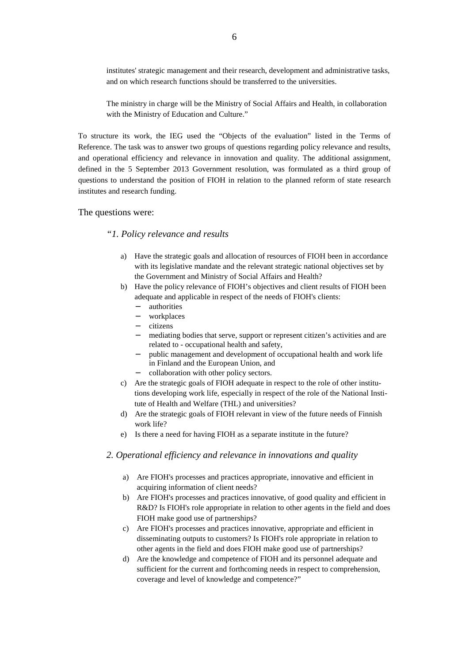institutes' strategic management and their research, development and administrative tasks, and on which research functions should be transferred to the universities.

The ministry in charge will be the Ministry of Social Affairs and Health, in collaboration with the Ministry of Education and Culture."

To structure its work, the IEG used the "Objects of the evaluation" listed in the Terms of Reference. The task was to answer two groups of questions regarding policy relevance and results, and operational efficiency and relevance in innovation and quality. The additional assignment, defined in the 5 September 2013 Government resolution, was formulated as a third group of questions to understand the position of FIOH in relation to the planned reform of state research institutes and research funding.

### The questions were:

### *"1. Policy relevance and results*

- a) Have the strategic goals and allocation of resources of FIOH been in accordance with its legislative mandate and the relevant strategic national objectives set by the Government and Ministry of Social Affairs and Health?
- b) Have the policy relevance of FIOH's objectives and client results of FIOH been adequate and applicable in respect of the needs of FIOH's clients:
	- $\sim$ authorities
	- workplaces
	- $\mathbb{R}^{\mathbb{Z}}$ citizens
	- mediating bodies that serve, support or represent citizen's activities and are related to - occupational health and safety,
	- public management and development of occupational health and work life in Finland and the European Union, and
	- collaboration with other policy sectors.
- c) Are the strategic goals of FIOH adequate in respect to the role of other institutions developing work life, especially in respect of the role of the National Institute of Health and Welfare (THL) and universities?
- d) Are the strategic goals of FIOH relevant in view of the future needs of Finnish work life?
- e) Is there a need for having FIOH as a separate institute in the future?

#### *2. Operational efficiency and relevance in innovations and quality*

- a) Are FIOH's processes and practices appropriate, innovative and efficient in acquiring information of client needs?
- b) Are FIOH's processes and practices innovative, of good quality and efficient in R&D? Is FIOH's role appropriate in relation to other agents in the field and does FIOH make good use of partnerships?
- c) Are FIOH's processes and practices innovative, appropriate and efficient in disseminating outputs to customers? Is FIOH's role appropriate in relation to other agents in the field and does FIOH make good use of partnerships?
- d) Are the knowledge and competence of FIOH and its personnel adequate and sufficient for the current and forthcoming needs in respect to comprehension, coverage and level of knowledge and competence?"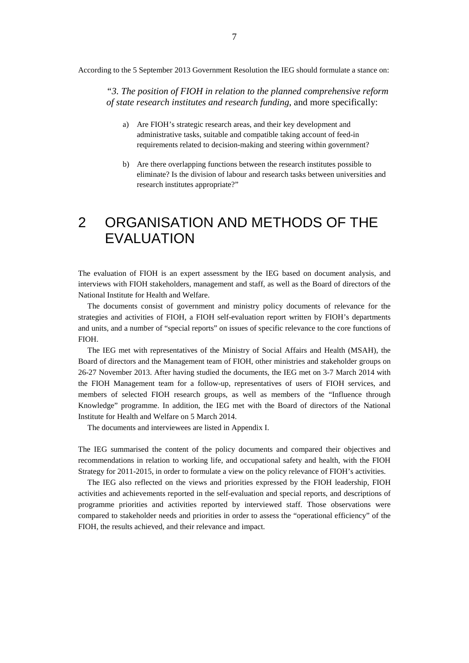According to the 5 September 2013 Government Resolution the IEG should formulate a stance on:

*"3. The position of FIOH in relation to the planned comprehensive reform of state research institutes and research funding*, and more specifically:

- a) Are FIOH's strategic research areas, and their key development and administrative tasks, suitable and compatible taking account of feed-in requirements related to decision-making and steering within government?
- b) Are there overlapping functions between the research institutes possible to eliminate? Is the division of labour and research tasks between universities and research institutes appropriate?"

## 2 ORGANISATION AND METHODS OF THE EVALUATION

The evaluation of FIOH is an expert assessment by the IEG based on document analysis, and interviews with FIOH stakeholders, management and staff, as well as the Board of directors of the National Institute for Health and Welfare.

The documents consist of government and ministry policy documents of relevance for the strategies and activities of FIOH, a FIOH self-evaluation report written by FIOH's departments and units, and a number of "special reports" on issues of specific relevance to the core functions of FIOH.

The IEG met with representatives of the Ministry of Social Affairs and Health (MSAH), the Board of directors and the Management team of FIOH, other ministries and stakeholder groups on 26-27 November 2013. After having studied the documents, the IEG met on 3-7 March 2014 with the FIOH Management team for a follow-up, representatives of users of FIOH services, and members of selected FIOH research groups, as well as members of the "Influence through Knowledge" programme. In addition, the IEG met with the Board of directors of the National Institute for Health and Welfare on 5 March 2014.

The documents and interviewees are listed in Appendix I.

The IEG summarised the content of the policy documents and compared their objectives and recommendations in relation to working life, and occupational safety and health, with the FIOH Strategy for 2011-2015, in order to formulate a view on the policy relevance of FIOH's activities.

The IEG also reflected on the views and priorities expressed by the FIOH leadership, FIOH activities and achievements reported in the self-evaluation and special reports, and descriptions of programme priorities and activities reported by interviewed staff. Those observations were compared to stakeholder needs and priorities in order to assess the "operational efficiency" of the FIOH, the results achieved, and their relevance and impact.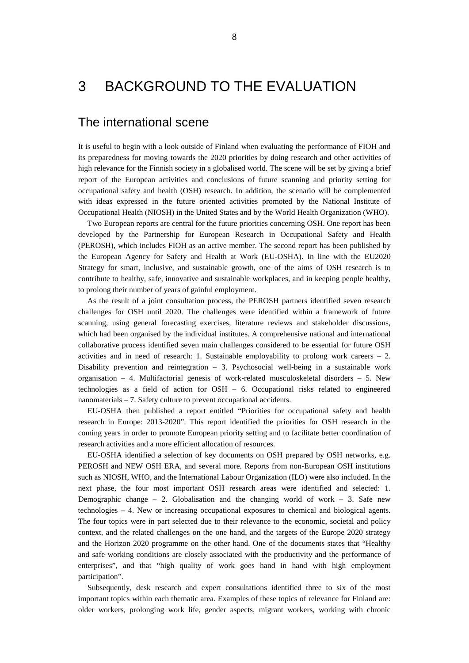## 3 BACKGROUND TO THE EVALUATION

## The international scene

It is useful to begin with a look outside of Finland when evaluating the performance of FIOH and its preparedness for moving towards the 2020 priorities by doing research and other activities of high relevance for the Finnish society in a globalised world. The scene will be set by giving a brief report of the European activities and conclusions of future scanning and priority setting for occupational safety and health (OSH) research. In addition, the scenario will be complemented with ideas expressed in the future oriented activities promoted by the National Institute of Occupational Health (NIOSH) in the United States and by the World Health Organization (WHO).

Two European reports are central for the future priorities concerning OSH. One report has been developed by the Partnership for European Research in Occupational Safety and Health (PEROSH), which includes FIOH as an active member. The second report has been published by the European Agency for Safety and Health at Work (EU-OSHA). In line with the EU2020 Strategy for smart, inclusive, and sustainable growth, one of the aims of OSH research is to contribute to healthy, safe, innovative and sustainable workplaces, and in keeping people healthy, to prolong their number of years of gainful employment.

As the result of a joint consultation process, the PEROSH partners identified seven research challenges for OSH until 2020. The challenges were identified within a framework of future scanning, using general forecasting exercises, literature reviews and stakeholder discussions, which had been organised by the individual institutes. A comprehensive national and international collaborative process identified seven main challenges considered to be essential for future OSH activities and in need of research: 1. Sustainable employability to prolong work careers  $-2$ . Disability prevention and reintegration  $-3$ . Psychosocial well-being in a sustainable work organisation  $-4$ . Multifactorial genesis of work-related musculoskeletal disorders  $-5$ . New technologies as a field of action for OSH – 6. Occupational risks related to engineered nanomaterials – 7. Safety culture to prevent occupational accidents.

EU-OSHA then published a report entitled "Priorities for occupational safety and health research in Europe: 2013-2020". This report identified the priorities for OSH research in the coming years in order to promote European priority setting and to facilitate better coordination of research activities and a more efficient allocation of resources.

EU-OSHA identified a selection of key documents on OSH prepared by OSH networks, e.g. PEROSH and NEW OSH ERA, and several more. Reports from non-European OSH institutions such as NIOSH, WHO, and the International Labour Organization (ILO) were also included. In the next phase, the four most important OSH research areas were identified and selected: 1. Demographic change – 2. Globalisation and the changing world of work – 3. Safe new technologies – 4. New or increasing occupational exposures to chemical and biological agents. The four topics were in part selected due to their relevance to the economic, societal and policy context, and the related challenges on the one hand, and the targets of the Europe 2020 strategy and the Horizon 2020 programme on the other hand. One of the documents states that "Healthy and safe working conditions are closely associated with the productivity and the performance of enterprises", and that "high quality of work goes hand in hand with high employment participation".

Subsequently, desk research and expert consultations identified three to six of the most important topics within each thematic area. Examples of these topics of relevance for Finland are: older workers, prolonging work life, gender aspects, migrant workers, working with chronic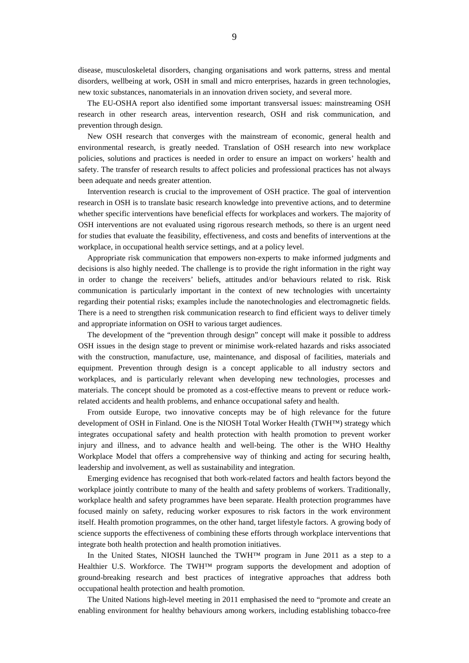disease, musculoskeletal disorders, changing organisations and work patterns, stress and mental disorders, wellbeing at work, OSH in small and micro enterprises, hazards in green technologies, new toxic substances, nanomaterials in an innovation driven society, and several more.

The EU-OSHA report also identified some important transversal issues: mainstreaming OSH research in other research areas, intervention research, OSH and risk communication, and prevention through design.

New OSH research that converges with the mainstream of economic, general health and environmental research, is greatly needed. Translation of OSH research into new workplace policies, solutions and practices is needed in order to ensure an impact on workers' health and safety. The transfer of research results to affect policies and professional practices has not always been adequate and needs greater attention.

Intervention research is crucial to the improvement of OSH practice. The goal of intervention research in OSH is to translate basic research knowledge into preventive actions, and to determine whether specific interventions have beneficial effects for workplaces and workers. The majority of OSH interventions are not evaluated using rigorous research methods, so there is an urgent need for studies that evaluate the feasibility, effectiveness, and costs and benefits of interventions at the workplace, in occupational health service settings, and at a policy level.

Appropriate risk communication that empowers non-experts to make informed judgments and decisions is also highly needed. The challenge is to provide the right information in the right way in order to change the receivers' beliefs, attitudes and/or behaviours related to risk. Risk communication is particularly important in the context of new technologies with uncertainty regarding their potential risks; examples include the nanotechnologies and electromagnetic fields. There is a need to strengthen risk communication research to find efficient ways to deliver timely and appropriate information on OSH to various target audiences.

The development of the "prevention through design" concept will make it possible to address OSH issues in the design stage to prevent or minimise work-related hazards and risks associated with the construction, manufacture, use, maintenance, and disposal of facilities, materials and equipment. Prevention through design is a concept applicable to all industry sectors and workplaces, and is particularly relevant when developing new technologies, processes and materials. The concept should be promoted as a cost-effective means to prevent or reduce workrelated accidents and health problems, and enhance occupational safety and health.

From outside Europe, two innovative concepts may be of high relevance for the future development of OSH in Finland. One is the NIOSH Total Worker Health (TWH™) strategy which integrates occupational safety and health protection with health promotion to prevent worker injury and illness, and to advance health and well-being. The other is the WHO Healthy Workplace Model that offers a comprehensive way of thinking and acting for securing health, leadership and involvement, as well as sustainability and integration.

Emerging evidence has recognised that both work-related factors and health factors beyond the workplace jointly contribute to many of the health and safety problems of workers. Traditionally, workplace health and safety programmes have been separate. Health protection programmes have focused mainly on safety, reducing worker exposures to risk factors in the work environment itself. Health promotion programmes, on the other hand, target lifestyle factors. A growing body of science supports the effectiveness of combining these efforts through workplace interventions that integrate both health protection and health promotion initiatives.

In the United States, NIOSH launched the TWH™ program in June 2011 as a step to a Healthier U.S. Workforce. The TWH™ program supports the development and adoption of ground-breaking research and best practices of integrative approaches that address both occupational health protection and health promotion.

The United Nations high-level meeting in 2011 emphasised the need to "promote and create an enabling environment for healthy behaviours among workers, including establishing tobacco-free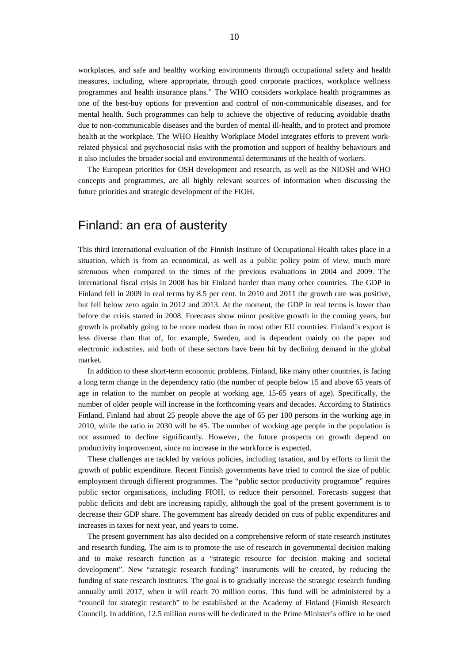workplaces, and safe and healthy working environments through occupational safety and health measures, including, where appropriate, through good corporate practices, workplace wellness programmes and health insurance plans." The WHO considers workplace health programmes as one of the best-buy options for prevention and control of non-communicable diseases, and for mental health. Such programmes can help to achieve the objective of reducing avoidable deaths due to non-communicable diseases and the burden of mental ill-health, and to protect and promote health at the workplace. The WHO Healthy Workplace Model integrates efforts to prevent workrelated physical and psychosocial risks with the promotion and support of healthy behaviours and it also includes the broader social and environmental determinants of the health of workers.

The European priorities for OSH development and research, as well as the NIOSH and WHO concepts and programmes, are all highly relevant sources of information when discussing the future priorities and strategic development of the FIOH.

## Finland: an era of austerity

This third international evaluation of the Finnish Institute of Occupational Health takes place in a situation, which is from an economical, as well as a public policy point of view, much more strenuous when compared to the times of the previous evaluations in 2004 and 2009. The international fiscal crisis in 2008 has hit Finland harder than many other countries. The GDP in Finland fell in 2009 in real terms by 8.5 per cent. In 2010 and 2011 the growth rate was positive, but fell below zero again in 2012 and 2013. At the moment, the GDP in real terms is lower than before the crisis started in 2008. Forecasts show minor positive growth in the coming years, but growth is probably going to be more modest than in most other EU countries. Finland's export is less diverse than that of, for example, Sweden, and is dependent mainly on the paper and electronic industries, and both of these sectors have been hit by declining demand in the global market.

In addition to these short-term economic problems, Finland, like many other countries, is facing a long term change in the dependency ratio (the number of people below 15 and above 65 years of age in relation to the number on people at working age, 15-65 years of age). Specifically, the number of older people will increase in the forthcoming years and decades. According to Statistics Finland, Finland had about 25 people above the age of 65 per 100 persons in the working age in 2010, while the ratio in 2030 will be 45. The number of working age people in the population is not assumed to decline significantly. However, the future prospects on growth depend on productivity improvement, since no increase in the workforce is expected.

These challenges are tackled by various policies, including taxation, and by efforts to limit the growth of public expenditure. Recent Finnish governments have tried to control the size of public employment through different programmes. The "public sector productivity programme" requires public sector organisations, including FIOH, to reduce their personnel. Forecasts suggest that public deficits and debt are increasing rapidly, although the goal of the present government is to decrease their GDP share. The government has already decided on cuts of public expenditures and increases in taxes for next year, and years to come.

The present government has also decided on a comprehensive reform of state research institutes and research funding. The aim is to promote the use of research in governmental decision making and to make research function as a "strategic resource for decision making and societal development". New "strategic research funding" instruments will be created, by reducing the funding of state research institutes. The goal is to gradually increase the strategic research funding annually until 2017, when it will reach 70 million euros. This fund will be administered by a "council for strategic research" to be established at the Academy of Finland (Finnish Research Council). In addition, 12.5 million euros will be dedicated to the Prime Minister's office to be used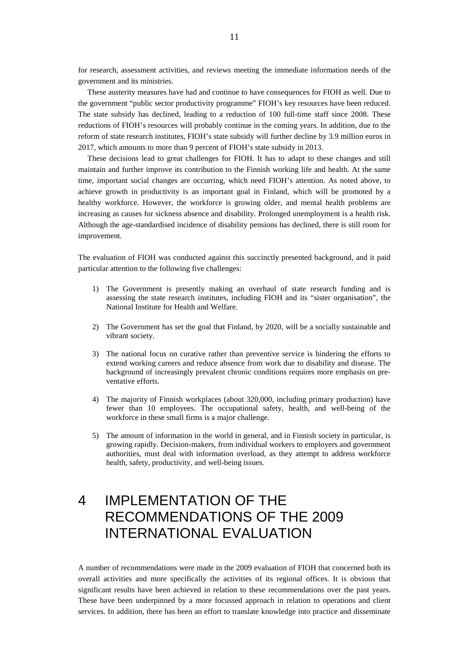for research, assessment activities, and reviews meeting the immediate information needs of the government and its ministries.

These austerity measures have had and continue to have consequences for FIOH as well. Due to the government "public sector productivity programme" FIOH's key resources have been reduced. The state subsidy has declined, leading to a reduction of 100 full-time staff since 2008. These reductions of FIOH's resources will probably continue in the coming years. In addition, due to the reform of state research institutes, FIOH's state subsidy will further decline by 3.9 million euros in 2017, which amounts to more than 9 percent of FIOH's state subsidy in 2013.

These decisions lead to great challenges for FIOH. It has to adapt to these changes and still maintain and further improve its contribution to the Finnish working life and health. At the same time, important social changes are occurring, which need FIOH's attention. As noted above, to achieve growth in productivity is an important goal in Finland, which will be promoted by a healthy workforce. However, the workforce is growing older, and mental health problems are increasing as causes for sickness absence and disability. Prolonged unemployment is a health risk. Although the age-standardised incidence of disability pensions has declined, there is still room for improvement.

The evaluation of FIOH was conducted against this succinctly presented background, and it paid particular attention to the following five challenges:

- 1) The Government is presently making an overhaul of state research funding and is assessing the state research institutes, including FIOH and its "sister organisation", the National Institute for Health and Welfare.
- 2) The Government has set the goal that Finland, by 2020, will be a socially sustainable and vibrant society.
- 3) The national focus on curative rather than preventive service is hindering the efforts to extend working careers and reduce absence from work due to disability and disease. The background of increasingly prevalent chronic conditions requires more emphasis on preventative efforts.
- 4) The majority of Finnish workplaces (about 320,000, including primary production) have fewer than 10 employees. The occupational safety, health, and well-being of the workforce in these small firms is a major challenge.
- 5) The amount of information in the world in general, and in Finnish society in particular, is growing rapidly. Decision-makers, from individual workers to employers and government authorities, must deal with information overload, as they attempt to address workforce health, safety, productivity, and well-being issues.

## 4 IMPLEMENTATION OF THE RECOMMENDATIONS OF THE 2009 INTERNATIONAL EVALUATION

A number of recommendations were made in the 2009 evaluation of FIOH that concerned both its overall activities and more specifically the activities of its regional offices. It is obvious that significant results have been achieved in relation to these recommendations over the past years. These have been underpinned by a more focussed approach in relation to operations and client services. In addition, there has been an effort to translate knowledge into practice and disseminate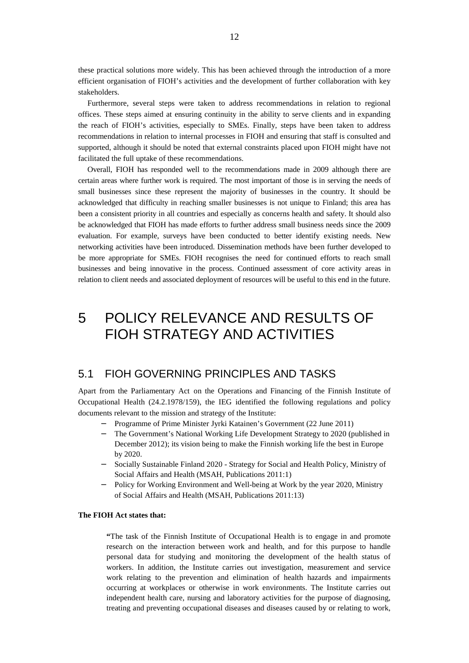these practical solutions more widely. This has been achieved through the introduction of a more efficient organisation of FIOH's activities and the development of further collaboration with key stakeholders.

Furthermore, several steps were taken to address recommendations in relation to regional offices. These steps aimed at ensuring continuity in the ability to serve clients and in expanding the reach of FIOH's activities, especially to SMEs. Finally, steps have been taken to address recommendations in relation to internal processes in FIOH and ensuring that staff is consulted and supported, although it should be noted that external constraints placed upon FIOH might have not facilitated the full uptake of these recommendations.

Overall, FIOH has responded well to the recommendations made in 2009 although there are certain areas where further work is required. The most important of those is in serving the needs of small businesses since these represent the majority of businesses in the country. It should be acknowledged that difficulty in reaching smaller businesses is not unique to Finland; this area has been a consistent priority in all countries and especially as concerns health and safety. It should also be acknowledged that FIOH has made efforts to further address small business needs since the 2009 evaluation. For example, surveys have been conducted to better identify existing needs. New networking activities have been introduced. Dissemination methods have been further developed to be more appropriate for SMEs. FIOH recognises the need for continued efforts to reach small businesses and being innovative in the process. Continued assessment of core activity areas in relation to client needs and associated deployment of resources will be useful to this end in the future.

## 5 POLICY RELEVANCE AND RESULTS OF FIOH STRATEGY AND ACTIVITIES

## 5.1 FIOH GOVERNING PRINCIPLES AND TASKS

Apart from the Parliamentary Act on the Operations and Financing of the Finnish Institute of Occupational Health (24.2.1978/159), the IEG identified the following regulations and policy documents relevant to the mission and strategy of the Institute:

- Programme of Prime Minister Jyrki Katainen's Government (22 June 2011)
- The Government's National Working Life Development Strategy to 2020 (published in December 2012); its vision being to make the Finnish working life the best in Europe by 2020.
- Socially Sustainable Finland 2020 Strategy for Social and Health Policy, Ministry of Social Affairs and Health (MSAH, Publications 2011:1)
- Policy for Working Environment and Well-being at Work by the year 2020, Ministry of Social Affairs and Health (MSAH, Publications 2011:13)

### **The FIOH Act states that:**

**"**The task of the Finnish Institute of Occupational Health is to engage in and promote research on the interaction between work and health, and for this purpose to handle personal data for studying and monitoring the development of the health status of workers. In addition, the Institute carries out investigation, measurement and service work relating to the prevention and elimination of health hazards and impairments occurring at workplaces or otherwise in work environments. The Institute carries out independent health care, nursing and laboratory activities for the purpose of diagnosing, treating and preventing occupational diseases and diseases caused by or relating to work,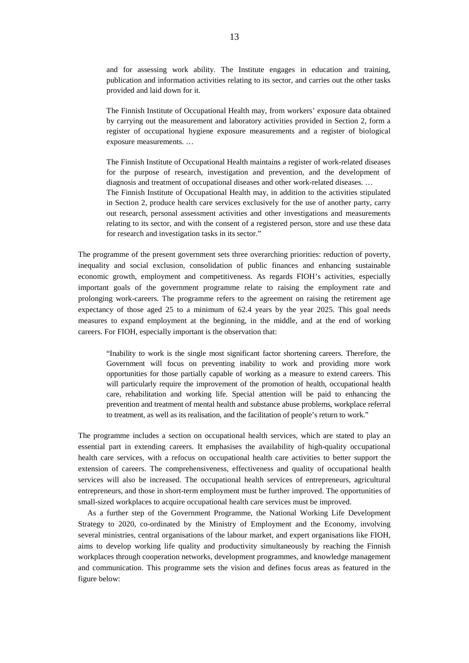and for assessing work ability. The Institute engages in education and training, publication and information activities relating to its sector, and carries out the other tasks provided and laid down for it.

The Finnish Institute of Occupational Health may, from workers' exposure data obtained by carrying out the measurement and laboratory activities provided in Section 2, form a register of occupational hygiene exposure measurements and a register of biological exposure measurements. …

The Finnish Institute of Occupational Health maintains a register of work-related diseases for the purpose of research, investigation and prevention, and the development of diagnosis and treatment of occupational diseases and other work-related diseases. … The Finnish Institute of Occupational Health may, in addition to the activities stipulated in Section 2, produce health care services exclusively for the use of another party, carry out research, personal assessment activities and other investigations and measurements relating to its sector, and with the consent of a registered person, store and use these data

The programme of the present government sets three overarching priorities: reduction of poverty, inequality and social exclusion, consolidation of public finances and enhancing sustainable economic growth, employment and competitiveness. As regards FIOH's activities, especially important goals of the government programme relate to raising the employment rate and prolonging work-careers. The programme refers to the agreement on raising the retirement age expectancy of those aged 25 to a minimum of 62.4 years by the year 2025. This goal needs measures to expand employment at the beginning, in the middle, and at the end of working careers. For FIOH, especially important is the observation that:

for research and investigation tasks in its sector."

"Inability to work is the single most significant factor shortening careers. Therefore, the Government will focus on preventing inability to work and providing more work opportunities for those partially capable of working as a measure to extend careers. This will particularly require the improvement of the promotion of health, occupational health care, rehabilitation and working life. Special attention will be paid to enhancing the prevention and treatment of mental health and substance abuse problems, workplace referral to treatment, as well as its realisation, and the facilitation of people's return to work."

The programme includes a section on occupational health services, which are stated to play an essential part in extending careers. It emphasises the availability of high-quality occupational health care services, with a refocus on occupational health care activities to better support the extension of careers. The comprehensiveness, effectiveness and quality of occupational health services will also be increased. The occupational health services of entrepreneurs, agricultural entrepreneurs, and those in short-term employment must be further improved. The opportunities of small-sized workplaces to acquire occupational health care services must be improved.

As a further step of the Government Programme, the National Working Life Development Strategy to 2020, co-ordinated by the Ministry of Employment and the Economy, involving several ministries, central organisations of the labour market, and expert organisations like FIOH, aims to develop working life quality and productivity simultaneously by reaching the Finnish workplaces through cooperation networks, development programmes, and knowledge management and communication. This programme sets the vision and defines focus areas as featured in the figure below: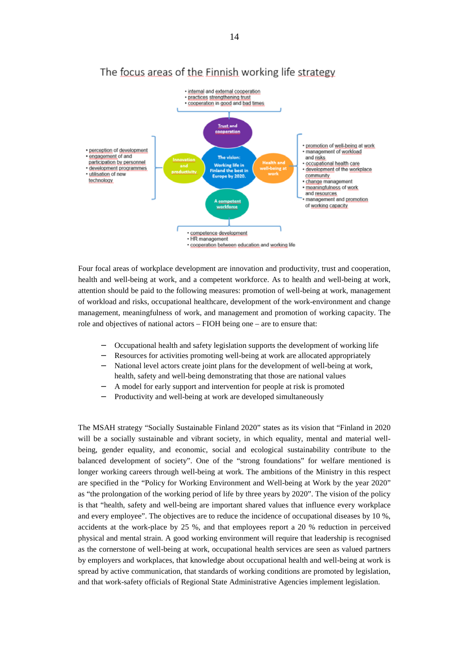

## The focus areas of the Finnish working life strategy

Four focal areas of workplace development are innovation and productivity, trust and cooperation, health and well-being at work, and a competent workforce. As to health and well-being at work, attention should be paid to the following measures: promotion of well-being at work, management of workload and risks, occupational healthcare, development of the work-environment and change management, meaningfulness of work, and management and promotion of working capacity. The role and objectives of national actors – FIOH being one – are to ensure that:

- Occupational health and safety legislation supports the development of working life
- Resources for activities promoting well-being at work are allocated appropriately
- National level actors create joint plans for the development of well-being at work, health, safety and well-being demonstrating that those are national values
- A model for early support and intervention for people at risk is promoted
- Productivity and well-being at work are developed simultaneously

The MSAH strategy "Socially Sustainable Finland 2020" states as its vision that "Finland in 2020 will be a socially sustainable and vibrant society, in which equality, mental and material wellbeing, gender equality, and economic, social and ecological sustainability contribute to the balanced development of society". One of the "strong foundations" for welfare mentioned is longer working careers through well-being at work. The ambitions of the Ministry in this respect are specified in the "Policy for Working Environment and Well-being at Work by the year 2020" as "the prolongation of the working period of life by three years by 2020". The vision of the policy is that "health, safety and well-being are important shared values that influence every workplace and every employee". The objectives are to reduce the incidence of occupational diseases by 10 %, accidents at the work-place by 25 %, and that employees report a 20 % reduction in perceived physical and mental strain. A good working environment will require that leadership is recognised as the cornerstone of well-being at work, occupational health services are seen as valued partners by employers and workplaces, that knowledge about occupational health and well-being at work is spread by active communication, that standards of working conditions are promoted by legislation, and that work-safety officials of Regional State Administrative Agencies implement legislation.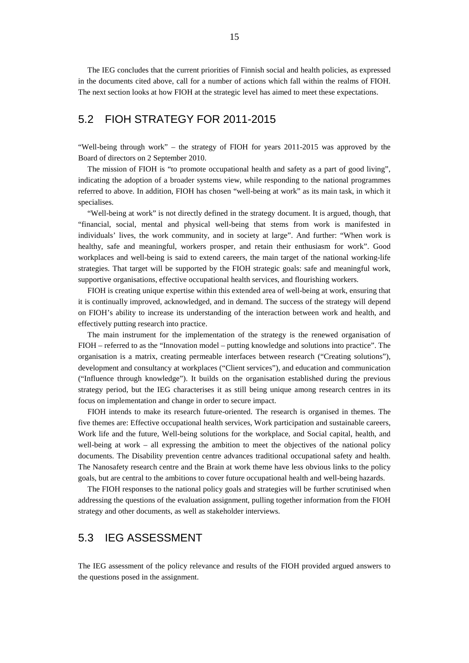The IEG concludes that the current priorities of Finnish social and health policies, as expressed in the documents cited above, call for a number of actions which fall within the realms of FIOH. The next section looks at how FIOH at the strategic level has aimed to meet these expectations.

## 5.2 FIOH STRATEGY FOR 2011-2015

"Well-being through work" – the strategy of FIOH for years 2011-2015 was approved by the Board of directors on 2 September 2010.

The mission of FIOH is "to promote occupational health and safety as a part of good living", indicating the adoption of a broader systems view, while responding to the national programmes referred to above. In addition, FIOH has chosen "well-being at work" as its main task, in which it specialises.

"Well-being at work" is not directly defined in the strategy document. It is argued, though, that "financial, social, mental and physical well-being that stems from work is manifested in individuals' lives, the work community, and in society at large". And further: "When work is healthy, safe and meaningful, workers prosper, and retain their enthusiasm for work". Good workplaces and well-being is said to extend careers, the main target of the national working-life strategies. That target will be supported by the FIOH strategic goals: safe and meaningful work, supportive organisations, effective occupational health services, and flourishing workers.

FIOH is creating unique expertise within this extended area of well-being at work, ensuring that it is continually improved, acknowledged, and in demand. The success of the strategy will depend on FIOH's ability to increase its understanding of the interaction between work and health, and effectively putting research into practice.

The main instrument for the implementation of the strategy is the renewed organisation of FIOH – referred to as the "Innovation model – putting knowledge and solutions into practice". The organisation is a matrix, creating permeable interfaces between research ("Creating solutions"), development and consultancy at workplaces ("Client services"), and education and communication ("Influence through knowledge"). It builds on the organisation established during the previous strategy period, but the IEG characterises it as still being unique among research centres in its focus on implementation and change in order to secure impact.

FIOH intends to make its research future-oriented. The research is organised in themes. The five themes are: Effective occupational health services, Work participation and sustainable careers, Work life and the future, Well-being solutions for the workplace, and Social capital, health, and well-being at work – all expressing the ambition to meet the objectives of the national policy documents. The Disability prevention centre advances traditional occupational safety and health. The Nanosafety research centre and the Brain at work theme have less obvious links to the policy goals, but are central to the ambitions to cover future occupational health and well-being hazards.

The FIOH responses to the national policy goals and strategies will be further scrutinised when addressing the questions of the evaluation assignment, pulling together information from the FIOH strategy and other documents, as well as stakeholder interviews.

## 5.3 IEG ASSESSMENT

The IEG assessment of the policy relevance and results of the FIOH provided argued answers to the questions posed in the assignment.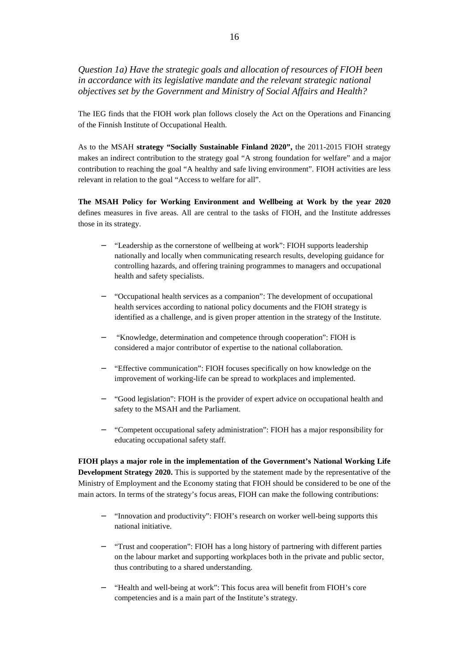*Question 1a) Have the strategic goals and allocation of resources of FIOH been in accordance with its legislative mandate and the relevant strategic national objectives set by the Government and Ministry of Social Affairs and Health?* 

The IEG finds that the FIOH work plan follows closely the Act on the Operations and Financing of the Finnish Institute of Occupational Health.

As to the MSAH **strategy "Socially Sustainable Finland 2020",** the 2011-2015 FIOH strategy makes an indirect contribution to the strategy goal "A strong foundation for welfare" and a major contribution to reaching the goal "A healthy and safe living environment". FIOH activities are less relevant in relation to the goal "Access to welfare for all".

**The MSAH Policy for Working Environment and Wellbeing at Work by the year 2020** defines measures in five areas. All are central to the tasks of FIOH, and the Institute addresses those in its strategy.

- "Leadership as the cornerstone of wellbeing at work": FIOH supports leadership nationally and locally when communicating research results, developing guidance for controlling hazards, and offering training programmes to managers and occupational health and safety specialists.
- "Occupational health services as a companion": The development of occupational health services according to national policy documents and the FIOH strategy is identified as a challenge, and is given proper attention in the strategy of the Institute.
- "Knowledge, determination and competence through cooperation": FIOH is considered a major contributor of expertise to the national collaboration.
- "Effective communication": FIOH focuses specifically on how knowledge on the  $\sim$ improvement of working-life can be spread to workplaces and implemented.
- "Good legislation": FIOH is the provider of expert advice on occupational health and safety to the MSAH and the Parliament.
- "Competent occupational safety administration": FIOH has a major responsibility for educating occupational safety staff.

**FIOH plays a major role in the implementation of the Government's National Working Life Development Strategy 2020.** This is supported by the statement made by the representative of the Ministry of Employment and the Economy stating that FIOH should be considered to be one of the main actors. In terms of the strategy's focus areas, FIOH can make the following contributions:

- "Innovation and productivity": FIOH's research on worker well-being supports this national initiative.
- "Trust and cooperation": FIOH has a long history of partnering with different parties on the labour market and supporting workplaces both in the private and public sector, thus contributing to a shared understanding.
- "Health and well-being at work": This focus area will benefit from FIOH's core competencies and is a main part of the Institute's strategy.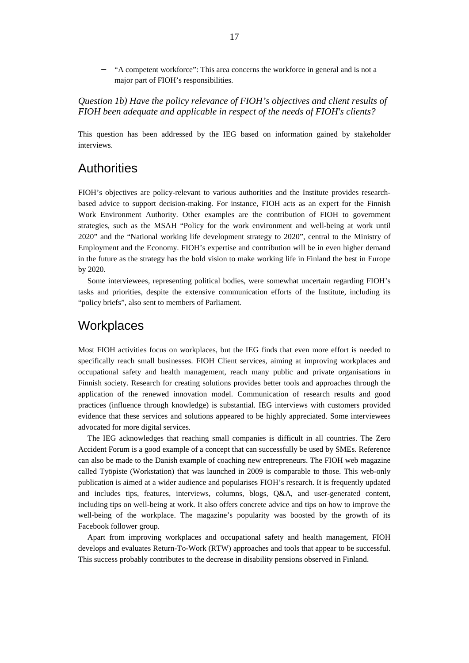"A competent workforce": This area concerns the workforce in general and is not a major part of FIOH's responsibilities.

*Question 1b) Have the policy relevance of FIOH's objectives and client results of FIOH been adequate and applicable in respect of the needs of FIOH's clients?*

This question has been addressed by the IEG based on information gained by stakeholder interviews.

## **Authorities**

FIOH's objectives are policy-relevant to various authorities and the Institute provides researchbased advice to support decision-making. For instance, FIOH acts as an expert for the Finnish Work Environment Authority. Other examples are the contribution of FIOH to government strategies, such as the MSAH "Policy for the work environment and well-being at work until 2020" and the "National working life development strategy to 2020", central to the Ministry of Employment and the Economy. FIOH's expertise and contribution will be in even higher demand in the future as the strategy has the bold vision to make working life in Finland the best in Europe by 2020.

Some interviewees, representing political bodies, were somewhat uncertain regarding FIOH's tasks and priorities, despite the extensive communication efforts of the Institute, including its "policy briefs", also sent to members of Parliament.

## **Workplaces**

Most FIOH activities focus on workplaces, but the IEG finds that even more effort is needed to specifically reach small businesses. FIOH Client services, aiming at improving workplaces and occupational safety and health management, reach many public and private organisations in Finnish society. Research for creating solutions provides better tools and approaches through the application of the renewed innovation model. Communication of research results and good practices (influence through knowledge) is substantial. IEG interviews with customers provided evidence that these services and solutions appeared to be highly appreciated. Some interviewees advocated for more digital services.

The IEG acknowledges that reaching small companies is difficult in all countries. The Zero Accident Forum is a good example of a concept that can successfully be used by SMEs. Reference can also be made to the Danish example of coaching new entrepreneurs. The FIOH web magazine called Työpiste (Workstation) that was launched in 2009 is comparable to those. This web-only publication is aimed at a wider audience and popularises FIOH's research. It is frequently updated and includes tips, features, interviews, columns, blogs, Q&A, and user-generated content, including tips on well-being at work. It also offers concrete advice and tips on how to improve the well-being of the workplace. The magazine's popularity was boosted by the growth of its Facebook follower group.

Apart from improving workplaces and occupational safety and health management, FIOH develops and evaluates Return-To-Work (RTW) approaches and tools that appear to be successful. This success probably contributes to the decrease in disability pensions observed in Finland.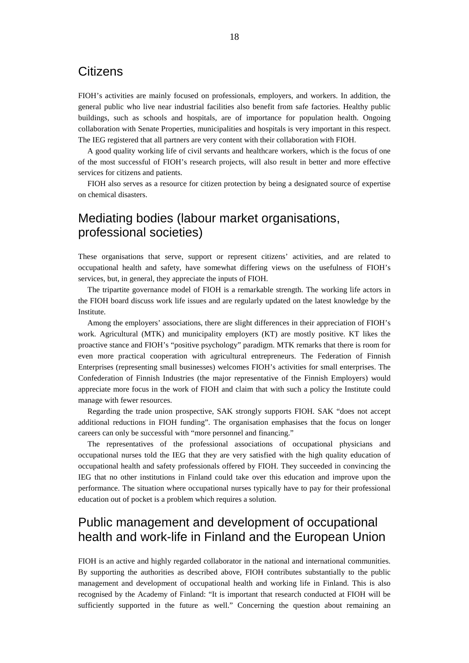## **Citizens**

FIOH's activities are mainly focused on professionals, employers, and workers. In addition, the general public who live near industrial facilities also benefit from safe factories. Healthy public buildings, such as schools and hospitals, are of importance for population health. Ongoing collaboration with Senate Properties, municipalities and hospitals is very important in this respect. The IEG registered that all partners are very content with their collaboration with FIOH.

A good quality working life of civil servants and healthcare workers, which is the focus of one of the most successful of FIOH's research projects, will also result in better and more effective services for citizens and patients.

FIOH also serves as a resource for citizen protection by being a designated source of expertise on chemical disasters.

## Mediating bodies (labour market organisations, professional societies)

These organisations that serve, support or represent citizens' activities, and are related to occupational health and safety, have somewhat differing views on the usefulness of FIOH's services, but, in general, they appreciate the inputs of FIOH.

The tripartite governance model of FIOH is a remarkable strength. The working life actors in the FIOH board discuss work life issues and are regularly updated on the latest knowledge by the Institute.

Among the employers' associations, there are slight differences in their appreciation of FIOH's work. Agricultural (MTK) and municipality employers (KT) are mostly positive. KT likes the proactive stance and FIOH's "positive psychology" paradigm. MTK remarks that there is room for even more practical cooperation with agricultural entrepreneurs. The Federation of Finnish Enterprises (representing small businesses) welcomes FIOH's activities for small enterprises. The Confederation of Finnish Industries (the major representative of the Finnish Employers) would appreciate more focus in the work of FIOH and claim that with such a policy the Institute could manage with fewer resources.

Regarding the trade union prospective, SAK strongly supports FIOH. SAK "does not accept additional reductions in FIOH funding". The organisation emphasises that the focus on longer careers can only be successful with "more personnel and financing."

The representatives of the professional associations of occupational physicians and occupational nurses told the IEG that they are very satisfied with the high quality education of occupational health and safety professionals offered by FIOH. They succeeded in convincing the IEG that no other institutions in Finland could take over this education and improve upon the performance. The situation where occupational nurses typically have to pay for their professional education out of pocket is a problem which requires a solution.

## Public management and development of occupational health and work-life in Finland and the European Union

FIOH is an active and highly regarded collaborator in the national and international communities. By supporting the authorities as described above, FIOH contributes substantially to the public management and development of occupational health and working life in Finland. This is also recognised by the Academy of Finland: "It is important that research conducted at FIOH will be sufficiently supported in the future as well." Concerning the question about remaining an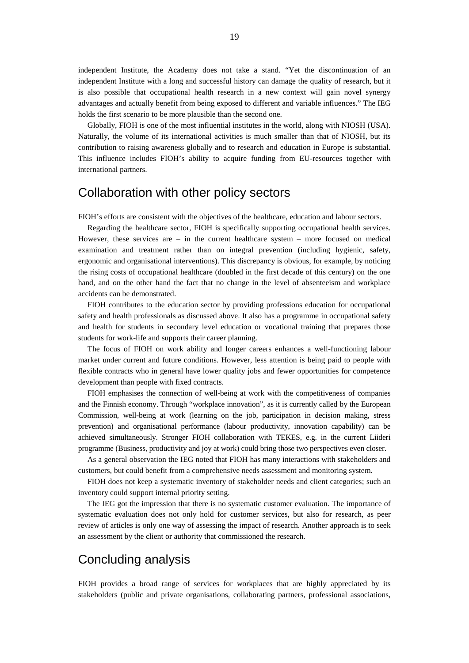independent Institute, the Academy does not take a stand. "Yet the discontinuation of an independent Institute with a long and successful history can damage the quality of research, but it is also possible that occupational health research in a new context will gain novel synergy advantages and actually benefit from being exposed to different and variable influences." The IEG holds the first scenario to be more plausible than the second one.

Globally, FIOH is one of the most influential institutes in the world, along with NIOSH (USA). Naturally, the volume of its international activities is much smaller than that of NIOSH, but its contribution to raising awareness globally and to research and education in Europe is substantial. This influence includes FIOH's ability to acquire funding from EU-resources together with international partners.

## Collaboration with other policy sectors

FIOH's efforts are consistent with the objectives of the healthcare, education and labour sectors.

Regarding the healthcare sector, FIOH is specifically supporting occupational health services. However, these services are  $-$  in the current healthcare system  $-$  more focused on medical examination and treatment rather than on integral prevention (including hygienic, safety, ergonomic and organisational interventions). This discrepancy is obvious, for example, by noticing the rising costs of occupational healthcare (doubled in the first decade of this century) on the one hand, and on the other hand the fact that no change in the level of absenteeism and workplace accidents can be demonstrated.

FIOH contributes to the education sector by providing professions education for occupational safety and health professionals as discussed above. It also has a programme in occupational safety and health for students in secondary level education or vocational training that prepares those students for work-life and supports their career planning.

The focus of FIOH on work ability and longer careers enhances a well-functioning labour market under current and future conditions. However, less attention is being paid to people with flexible contracts who in general have lower quality jobs and fewer opportunities for competence development than people with fixed contracts.

FIOH emphasises the connection of well-being at work with the competitiveness of companies and the Finnish economy. Through "workplace innovation", as it is currently called by the European Commission, well-being at work (learning on the job, participation in decision making, stress prevention) and organisational performance (labour productivity, innovation capability) can be achieved simultaneously. Stronger FIOH collaboration with TEKES, e.g. in the current Liideri programme (Business, productivity and joy at work) could bring those two perspectives even closer.

As a general observation the IEG noted that FIOH has many interactions with stakeholders and customers, but could benefit from a comprehensive needs assessment and monitoring system.

FIOH does not keep a systematic inventory of stakeholder needs and client categories; such an inventory could support internal priority setting.

The IEG got the impression that there is no systematic customer evaluation. The importance of systematic evaluation does not only hold for customer services, but also for research, as peer review of articles is only one way of assessing the impact of research. Another approach is to seek an assessment by the client or authority that commissioned the research.

## Concluding analysis

FIOH provides a broad range of services for workplaces that are highly appreciated by its stakeholders (public and private organisations, collaborating partners, professional associations,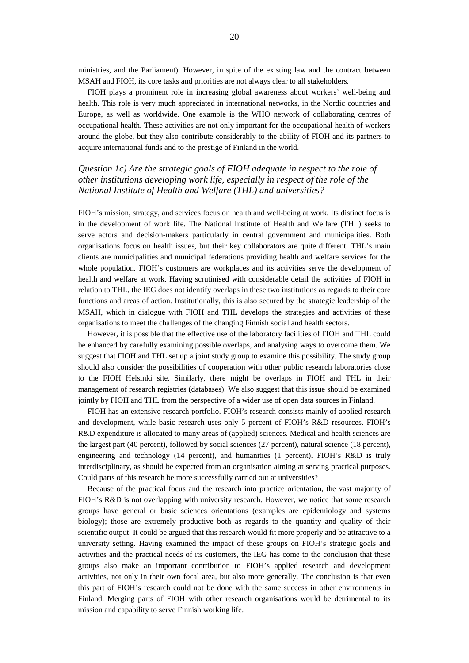ministries, and the Parliament). However, in spite of the existing law and the contract between MSAH and FIOH, its core tasks and priorities are not always clear to all stakeholders.

FIOH plays a prominent role in increasing global awareness about workers' well-being and health. This role is very much appreciated in international networks, in the Nordic countries and Europe, as well as worldwide. One example is the WHO network of collaborating centres of occupational health. These activities are not only important for the occupational health of workers around the globe, but they also contribute considerably to the ability of FIOH and its partners to acquire international funds and to the prestige of Finland in the world.

## *Question 1c) Are the strategic goals of FIOH adequate in respect to the role of other institutions developing work life, especially in respect of the role of the National Institute of Health and Welfare (THL) and universities?*

FIOH's mission, strategy, and services focus on health and well-being at work. Its distinct focus is in the development of work life. The National Institute of Health and Welfare (THL) seeks to serve actors and decision-makers particularly in central government and municipalities. Both organisations focus on health issues, but their key collaborators are quite different. THL's main clients are municipalities and municipal federations providing health and welfare services for the whole population. FIOH's customers are workplaces and its activities serve the development of health and welfare at work. Having scrutinised with considerable detail the activities of FIOH in relation to THL, the IEG does not identify overlaps in these two institutions as regards to their core functions and areas of action. Institutionally, this is also secured by the strategic leadership of the MSAH, which in dialogue with FIOH and THL develops the strategies and activities of these organisations to meet the challenges of the changing Finnish social and health sectors.

However, it is possible that the effective use of the laboratory facilities of FIOH and THL could be enhanced by carefully examining possible overlaps, and analysing ways to overcome them. We suggest that FIOH and THL set up a joint study group to examine this possibility. The study group should also consider the possibilities of cooperation with other public research laboratories close to the FIOH Helsinki site. Similarly, there might be overlaps in FIOH and THL in their management of research registries (databases). We also suggest that this issue should be examined jointly by FIOH and THL from the perspective of a wider use of open data sources in Finland.

FIOH has an extensive research portfolio. FIOH's research consists mainly of applied research and development, while basic research uses only 5 percent of FIOH's R&D resources. FIOH's R&D expenditure is allocated to many areas of (applied) sciences. Medical and health sciences are the largest part (40 percent), followed by social sciences (27 percent), natural science (18 percent), engineering and technology (14 percent), and humanities (1 percent). FIOH's R&D is truly interdisciplinary, as should be expected from an organisation aiming at serving practical purposes. Could parts of this research be more successfully carried out at universities?

Because of the practical focus and the research into practice orientation, the vast majority of FIOH's R&D is not overlapping with university research. However, we notice that some research groups have general or basic sciences orientations (examples are epidemiology and systems biology); those are extremely productive both as regards to the quantity and quality of their scientific output. It could be argued that this research would fit more properly and be attractive to a university setting. Having examined the impact of these groups on FIOH's strategic goals and activities and the practical needs of its customers, the IEG has come to the conclusion that these groups also make an important contribution to FIOH's applied research and development activities, not only in their own focal area, but also more generally. The conclusion is that even this part of FIOH's research could not be done with the same success in other environments in Finland. Merging parts of FIOH with other research organisations would be detrimental to its mission and capability to serve Finnish working life.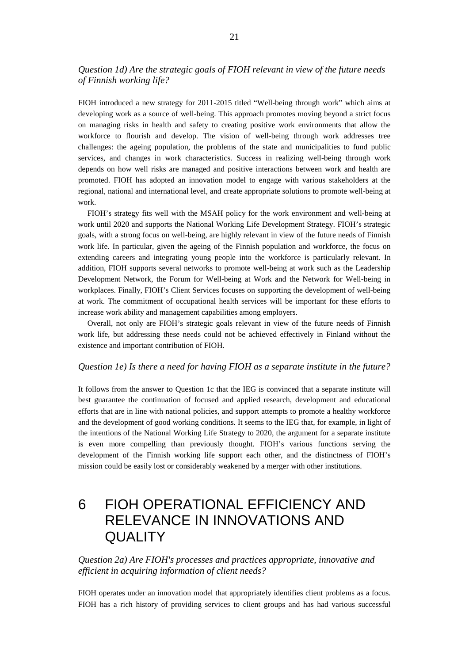### *Question 1d) Are the strategic goals of FIOH relevant in view of the future needs of Finnish working life?*

FIOH introduced a new strategy for 2011-2015 titled "Well-being through work" which aims at developing work as a source of well-being. This approach promotes moving beyond a strict focus on managing risks in health and safety to creating positive work environments that allow the workforce to flourish and develop. The vision of well-being through work addresses tree challenges: the ageing population, the problems of the state and municipalities to fund public services, and changes in work characteristics. Success in realizing well-being through work depends on how well risks are managed and positive interactions between work and health are promoted. FIOH has adopted an innovation model to engage with various stakeholders at the regional, national and international level, and create appropriate solutions to promote well-being at work.

FIOH's strategy fits well with the MSAH policy for the work environment and well-being at work until 2020 and supports the National Working Life Development Strategy. FIOH's strategic goals, with a strong focus on well-being, are highly relevant in view of the future needs of Finnish work life. In particular, given the ageing of the Finnish population and workforce, the focus on extending careers and integrating young people into the workforce is particularly relevant. In addition, FIOH supports several networks to promote well-being at work such as the Leadership Development Network, the Forum for Well-being at Work and the Network for Well-being in workplaces. Finally, FIOH's Client Services focuses on supporting the development of well-being at work. The commitment of occupational health services will be important for these efforts to increase work ability and management capabilities among employers.

Overall, not only are FIOH's strategic goals relevant in view of the future needs of Finnish work life, but addressing these needs could not be achieved effectively in Finland without the existence and important contribution of FIOH.

#### *Question 1e) Is there a need for having FIOH as a separate institute in the future?*

It follows from the answer to Question 1c that the IEG is convinced that a separate institute will best guarantee the continuation of focused and applied research, development and educational efforts that are in line with national policies, and support attempts to promote a healthy workforce and the development of good working conditions. It seems to the IEG that, for example, in light of the intentions of the National Working Life Strategy to 2020, the argument for a separate institute is even more compelling than previously thought. FIOH's various functions serving the development of the Finnish working life support each other, and the distinctness of FIOH's mission could be easily lost or considerably weakened by a merger with other institutions.

## 6 FIOH OPERATIONAL EFFICIENCY AND RELEVANCE IN INNOVATIONS AND **QUALITY**

*Question 2a) Are FIOH's processes and practices appropriate, innovative and efficient in acquiring information of client needs?*

FIOH operates under an innovation model that appropriately identifies client problems as a focus. FIOH has a rich history of providing services to client groups and has had various successful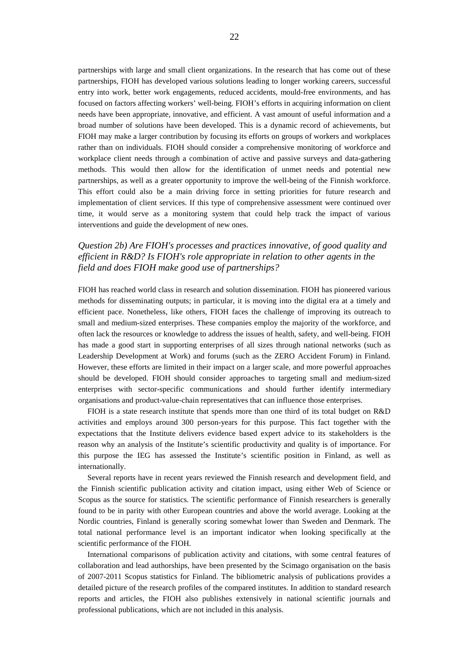partnerships with large and small client organizations. In the research that has come out of these partnerships, FIOH has developed various solutions leading to longer working careers, successful entry into work, better work engagements, reduced accidents, mould-free environments, and has focused on factors affecting workers' well-being. FIOH's efforts in acquiring information on client needs have been appropriate, innovative, and efficient. A vast amount of useful information and a broad number of solutions have been developed. This is a dynamic record of achievements, but FIOH may make a larger contribution by focusing its efforts on groups of workers and workplaces rather than on individuals. FIOH should consider a comprehensive monitoring of workforce and workplace client needs through a combination of active and passive surveys and data-gathering methods. This would then allow for the identification of unmet needs and potential new partnerships, as well as a greater opportunity to improve the well-being of the Finnish workforce. This effort could also be a main driving force in setting priorities for future research and implementation of client services. If this type of comprehensive assessment were continued over time, it would serve as a monitoring system that could help track the impact of various interventions and guide the development of new ones.

## *Question 2b) Are FIOH's processes and practices innovative, of good quality and efficient in R&D? Is FIOH's role appropriate in relation to other agents in the field and does FIOH make good use of partnerships?*

FIOH has reached world class in research and solution dissemination. FIOH has pioneered various methods for disseminating outputs; in particular, it is moving into the digital era at a timely and efficient pace. Nonetheless, like others, FIOH faces the challenge of improving its outreach to small and medium-sized enterprises. These companies employ the majority of the workforce, and often lack the resources or knowledge to address the issues of health, safety, and well-being. FIOH has made a good start in supporting enterprises of all sizes through national networks (such as Leadership Development at Work) and forums (such as the ZERO Accident Forum) in Finland. However, these efforts are limited in their impact on a larger scale, and more powerful approaches should be developed. FIOH should consider approaches to targeting small and medium-sized enterprises with sector-specific communications and should further identify intermediary organisations and product-value-chain representatives that can influence those enterprises.

FIOH is a state research institute that spends more than one third of its total budget on R&D activities and employs around 300 person-years for this purpose. This fact together with the expectations that the Institute delivers evidence based expert advice to its stakeholders is the reason why an analysis of the Institute's scientific productivity and quality is of importance. For this purpose the IEG has assessed the Institute's scientific position in Finland, as well as internationally.

Several reports have in recent years reviewed the Finnish research and development field, and the Finnish scientific publication activity and citation impact, using either Web of Science or Scopus as the source for statistics. The scientific performance of Finnish researchers is generally found to be in parity with other European countries and above the world average. Looking at the Nordic countries, Finland is generally scoring somewhat lower than Sweden and Denmark. The total national performance level is an important indicator when looking specifically at the scientific performance of the FIOH.

International comparisons of publication activity and citations, with some central features of collaboration and lead authorships, have been presented by the Scimago organisation on the basis of 2007-2011 Scopus statistics for Finland. The bibliometric analysis of publications provides a detailed picture of the research profiles of the compared institutes. In addition to standard research reports and articles, the FIOH also publishes extensively in national scientific journals and professional publications, which are not included in this analysis.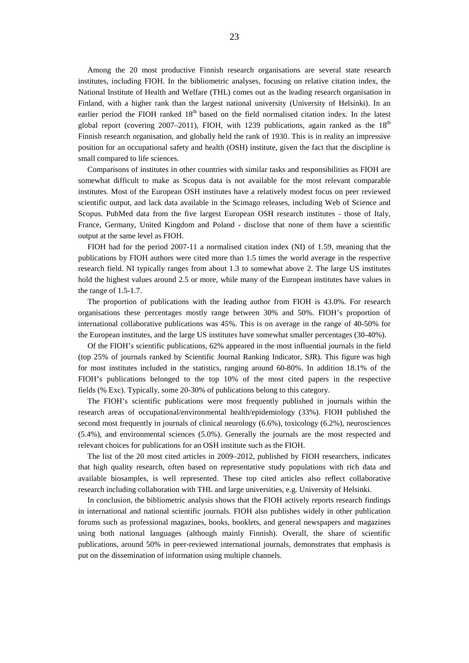Among the 20 most productive Finnish research organisations are several state research institutes, including FIOH. In the bibliometric analyses, focusing on relative citation index, the National Institute of Health and Welfare (THL) comes out as the leading research organisation in Finland, with a higher rank than the largest national university (University of Helsinki). In an earlier period the FIOH ranked 18<sup>th</sup> based on the field normalised citation index. In the latest global report (covering 2007–2011), FIOH, with 1239 publications, again ranked as the  $18<sup>th</sup>$ Finnish research organisation, and globally held the rank of 1930. This is in reality an impressive position for an occupational safety and health (OSH) institute, given the fact that the discipline is small compared to life sciences.

Comparisons of institutes in other countries with similar tasks and responsibilities as FIOH are somewhat difficult to make as Scopus data is not available for the most relevant comparable institutes. Most of the European OSH institutes have a relatively modest focus on peer reviewed scientific output, and lack data available in the Scimago releases, including Web of Science and Scopus. PubMed data from the five largest European OSH research institutes - those of Italy, France, Germany, United Kingdom and Poland - disclose that none of them have a scientific output at the same level as FIOH.

FIOH had for the period 2007-11 a normalised citation index (NI) of 1.59, meaning that the publications by FIOH authors were cited more than 1.5 times the world average in the respective research field. NI typically ranges from about 1.3 to somewhat above 2. The large US institutes hold the highest values around 2.5 or more, while many of the European institutes have values in the range of 1.5-1.7.

The proportion of publications with the leading author from FIOH is 43.0%. For research organisations these percentages mostly range between 30% and 50%. FIOH's proportion of international collaborative publications was 45%. This is on average in the range of 40-50% for the European institutes, and the large US institutes have somewhat smaller percentages (30-40%).

Of the FIOH's scientific publications, 62% appeared in the most influential journals in the field (top 25% of journals ranked by Scientific Journal Ranking Indicator, SJR). This figure was high for most institutes included in the statistics, ranging around 60-80%. In addition 18.1% of the FIOH's publications belonged to the top 10% of the most cited papers in the respective fields (% Exc). Typically, some 20-30% of publications belong to this category.

The FIOH's scientific publications were most frequently published in journals within the research areas of occupational/environmental health/epidemiology (33%). FIOH published the second most frequently in journals of clinical neurology (6.6%), toxicology (6.2%), neurosciences (5.4%), and environmental sciences (5.0%). Generally the journals are the most respected and relevant choices for publications for an OSH institute such as the FIOH.

The list of the 20 most cited articles in 2009–2012, published by FIOH researchers, indicates that high quality research, often based on representative study populations with rich data and available biosamples, is well represented. These top cited articles also reflect collaborative research including collaboration with THL and large universities, e.g. University of Helsinki.

In conclusion, the bibliometric analysis shows that the FIOH actively reports research findings in international and national scientific journals. FIOH also publishes widely in other publication forums such as professional magazines, books, booklets, and general newspapers and magazines using both national languages (although mainly Finnish). Overall, the share of scientific publications, around 50% in peer-reviewed international journals, demonstrates that emphasis is put on the dissemination of information using multiple channels.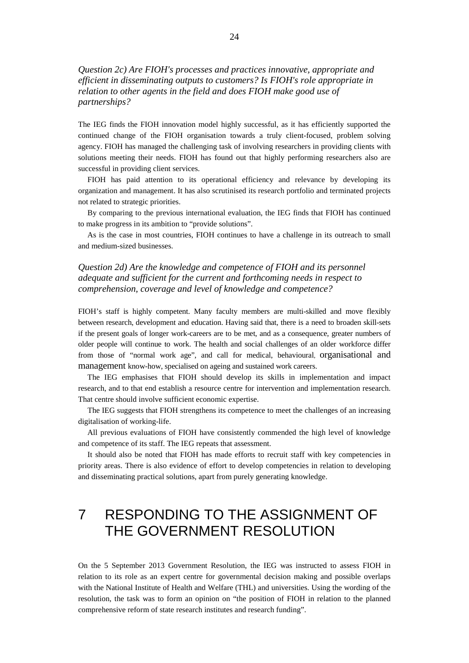## *Question 2c) Are FIOH's processes and practices innovative, appropriate and efficient in disseminating outputs to customers? Is FIOH's role appropriate in relation to other agents in the field and does FIOH make good use of partnerships?*

The IEG finds the FIOH innovation model highly successful, as it has efficiently supported the continued change of the FIOH organisation towards a truly client-focused, problem solving agency. FIOH has managed the challenging task of involving researchers in providing clients with solutions meeting their needs. FIOH has found out that highly performing researchers also are successful in providing client services.

FIOH has paid attention to its operational efficiency and relevance by developing its organization and management. It has also scrutinised its research portfolio and terminated projects not related to strategic priorities.

By comparing to the previous international evaluation, the IEG finds that FIOH has continued to make progress in its ambition to "provide solutions".

As is the case in most countries, FIOH continues to have a challenge in its outreach to small and medium-sized businesses.

## *Question 2d) Are the knowledge and competence of FIOH and its personnel adequate and sufficient for the current and forthcoming needs in respect to comprehension, coverage and level of knowledge and competence?*

FIOH's staff is highly competent. Many faculty members are multi-skilled and move flexibly between research, development and education. Having said that, there is a need to broaden skill-sets if the present goals of longer work-careers are to be met, and as a consequence, greater numbers of older people will continue to work. The health and social challenges of an older workforce differ from those of "normal work age", and call for medical, behavioural, organisational and management know-how, specialised on ageing and sustained work careers.

The IEG emphasises that FIOH should develop its skills in implementation and impact research, and to that end establish a resource centre for intervention and implementation research. That centre should involve sufficient economic expertise.

The IEG suggests that FIOH strengthens its competence to meet the challenges of an increasing digitalisation of working-life.

All previous evaluations of FIOH have consistently commended the high level of knowledge and competence of its staff. The IEG repeats that assessment.

It should also be noted that FIOH has made efforts to recruit staff with key competencies in priority areas. There is also evidence of effort to develop competencies in relation to developing and disseminating practical solutions, apart from purely generating knowledge.

## 7 RESPONDING TO THE ASSIGNMENT OF THE GOVERNMENT RESOLUTION

On the 5 September 2013 Government Resolution, the IEG was instructed to assess FIOH in relation to its role as an expert centre for governmental decision making and possible overlaps with the National Institute of Health and Welfare (THL) and universities. Using the wording of the resolution, the task was to form an opinion on "the position of FIOH in relation to the planned comprehensive reform of state research institutes and research funding".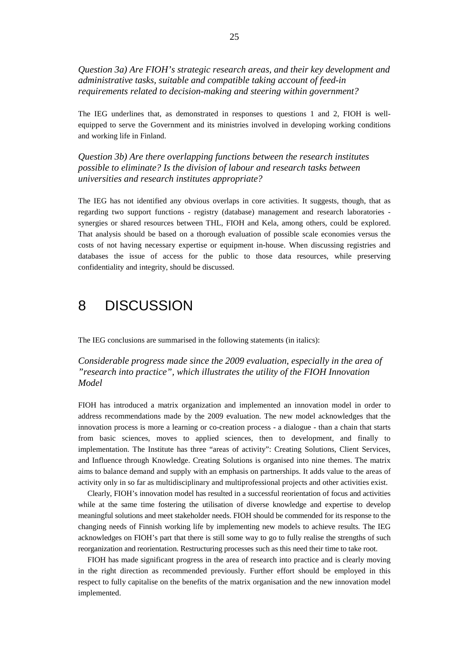*Question 3a) Are FIOH's strategic research areas, and their key development and administrative tasks, suitable and compatible taking account of feed-in requirements related to decision-making and steering within government?*

The IEG underlines that, as demonstrated in responses to questions 1 and 2, FIOH is wellequipped to serve the Government and its ministries involved in developing working conditions and working life in Finland.

*Question 3b) Are there overlapping functions between the research institutes possible to eliminate? Is the division of labour and research tasks between universities and research institutes appropriate?* 

The IEG has not identified any obvious overlaps in core activities. It suggests, though, that as regarding two support functions - registry (database) management and research laboratories synergies or shared resources between THL, FIOH and Kela, among others, could be explored. That analysis should be based on a thorough evaluation of possible scale economies versus the costs of not having necessary expertise or equipment in-house. When discussing registries and databases the issue of access for the public to those data resources, while preserving confidentiality and integrity, should be discussed.

## 8 DISCUSSION

The IEG conclusions are summarised in the following statements (in italics):

### *Considerable progress made since the 2009 evaluation, especially in the area of "research into practice", which illustrates the utility of the FIOH Innovation Model*

FIOH has introduced a matrix organization and implemented an innovation model in order to address recommendations made by the 2009 evaluation. The new model acknowledges that the innovation process is more a learning or co-creation process - a dialogue - than a chain that starts from basic sciences, moves to applied sciences, then to development, and finally to implementation. The Institute has three "areas of activity": Creating Solutions, Client Services, and Influence through Knowledge. Creating Solutions is organised into nine themes. The matrix aims to balance demand and supply with an emphasis on partnerships. It adds value to the areas of activity only in so far as multidisciplinary and multiprofessional projects and other activities exist.

Clearly, FIOH's innovation model has resulted in a successful reorientation of focus and activities while at the same time fostering the utilisation of diverse knowledge and expertise to develop meaningful solutions and meet stakeholder needs. FIOH should be commended for its response to the changing needs of Finnish working life by implementing new models to achieve results. The IEG acknowledges on FIOH's part that there is still some way to go to fully realise the strengths of such reorganization and reorientation. Restructuring processes such as this need their time to take root.

FIOH has made significant progress in the area of research into practice and is clearly moving in the right direction as recommended previously. Further effort should be employed in this respect to fully capitalise on the benefits of the matrix organisation and the new innovation model implemented.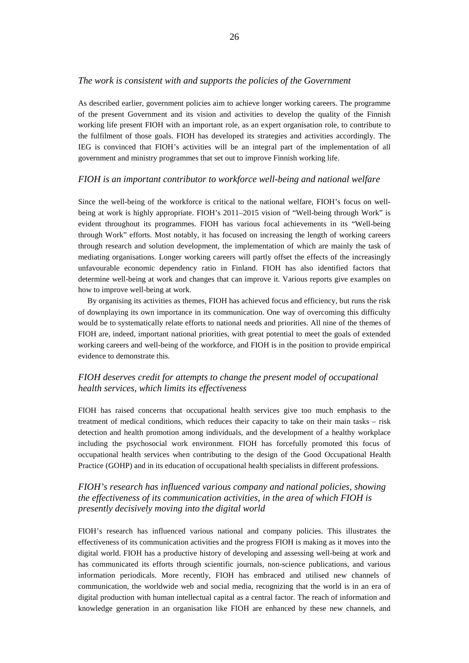#### *The work is consistent with and supports the policies of the Government*

As described earlier, government policies aim to achieve longer working careers. The programme of the present Government and its vision and activities to develop the quality of the Finnish working life present FIOH with an important role, as an expert organisation role, to contribute to the fulfilment of those goals. FIOH has developed its strategies and activities accordingly. The IEG is convinced that FIOH's activities will be an integral part of the implementation of all government and ministry programmes that set out to improve Finnish working life.

### *FIOH is an important contributor to workforce well-being and national welfare*

Since the well-being of the workforce is critical to the national welfare, FIOH's focus on wellbeing at work is highly appropriate. FIOH's 2011–2015 vision of "Well-being through Work" is evident throughout its programmes. FIOH has various focal achievements in its "Well-being through Work" efforts. Most notably, it has focused on increasing the length of working careers through research and solution development, the implementation of which are mainly the task of mediating organisations. Longer working careers will partly offset the effects of the increasingly unfavourable economic dependency ratio in Finland. FIOH has also identified factors that determine well-being at work and changes that can improve it. Various reports give examples on how to improve well-being at work.

By organising its activities as themes, FIOH has achieved focus and efficiency, but runs the risk of downplaying its own importance in its communication. One way of overcoming this difficulty would be to systematically relate efforts to national needs and priorities. All nine of the themes of FIOH are, indeed, important national priorities, with great potential to meet the goals of extended working careers and well-being of the workforce, and FIOH is in the position to provide empirical evidence to demonstrate this.

## *FIOH deserves credit for attempts to change the present model of occupational health services, which limits its effectiveness*

FIOH has raised concerns that occupational health services give too much emphasis to the treatment of medical conditions, which reduces their capacity to take on their main tasks – risk detection and health promotion among individuals, and the development of a healthy workplace including the psychosocial work environment. FIOH has forcefully promoted this focus of occupational health services when contributing to the design of the Good Occupational Health Practice (GOHP) and in its education of occupational health specialists in different professions.

## *FIOH's research has influenced various company and national policies, showing the effectiveness of its communication activities, in the area of which FIOH is presently decisively moving into the digital world*

FIOH's research has influenced various national and company policies. This illustrates the effectiveness of its communication activities and the progress FIOH is making as it moves into the digital world. FIOH has a productive history of developing and assessing well-being at work and has communicated its efforts through scientific journals, non-science publications, and various information periodicals. More recently, FIOH has embraced and utilised new channels of communication, the worldwide web and social media, recognizing that the world is in an era of digital production with human intellectual capital as a central factor. The reach of information and knowledge generation in an organisation like FIOH are enhanced by these new channels, and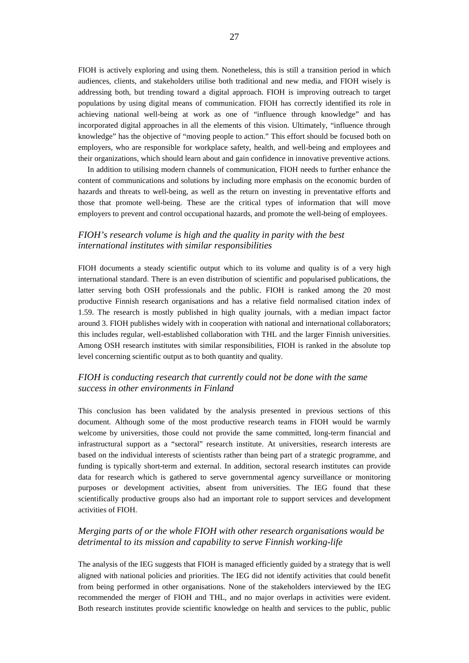FIOH is actively exploring and using them. Nonetheless, this is still a transition period in which audiences, clients, and stakeholders utilise both traditional and new media, and FIOH wisely is addressing both, but trending toward a digital approach. FIOH is improving outreach to target populations by using digital means of communication. FIOH has correctly identified its role in achieving national well-being at work as one of "influence through knowledge" and has incorporated digital approaches in all the elements of this vision. Ultimately, "influence through knowledge" has the objective of "moving people to action." This effort should be focused both on employers, who are responsible for workplace safety, health, and well-being and employees and their organizations, which should learn about and gain confidence in innovative preventive actions.

In addition to utilising modern channels of communication, FIOH needs to further enhance the content of communications and solutions by including more emphasis on the economic burden of hazards and threats to well-being, as well as the return on investing in preventative efforts and those that promote well-being. These are the critical types of information that will move employers to prevent and control occupational hazards, and promote the well-being of employees.

### *FIOH's research volume is high and the quality in parity with the best international institutes with similar responsibilities*

FIOH documents a steady scientific output which to its volume and quality is of a very high international standard. There is an even distribution of scientific and popularised publications, the latter serving both OSH professionals and the public. FIOH is ranked among the 20 most productive Finnish research organisations and has a relative field normalised citation index of 1.59. The research is mostly published in high quality journals, with a median impact factor around 3. FIOH publishes widely with in cooperation with national and international collaborators; this includes regular, well-established collaboration with THL and the larger Finnish universities. Among OSH research institutes with similar responsibilities, FIOH is ranked in the absolute top level concerning scientific output as to both quantity and quality.

### *FIOH is conducting research that currently could not be done with the same success in other environments in Finland*

This conclusion has been validated by the analysis presented in previous sections of this document. Although some of the most productive research teams in FIOH would be warmly welcome by universities, those could not provide the same committed, long-term financial and infrastructural support as a "sectoral" research institute. At universities, research interests are based on the individual interests of scientists rather than being part of a strategic programme, and funding is typically short-term and external. In addition, sectoral research institutes can provide data for research which is gathered to serve governmental agency surveillance or monitoring purposes or development activities, absent from universities. The IEG found that these scientifically productive groups also had an important role to support services and development activities of FIOH.

### *Merging parts of or the whole FIOH with other research organisations would be detrimental to its mission and capability to serve Finnish working-life*

The analysis of the IEG suggests that FIOH is managed efficiently guided by a strategy that is well aligned with national policies and priorities. The IEG did not identify activities that could benefit from being performed in other organisations. None of the stakeholders interviewed by the IEG recommended the merger of FIOH and THL, and no major overlaps in activities were evident. Both research institutes provide scientific knowledge on health and services to the public, public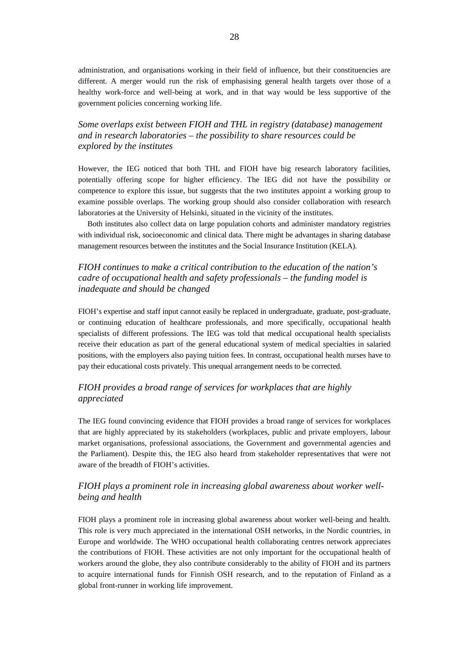administration, and organisations working in their field of influence, but their constituencies are different. A merger would run the risk of emphasising general health targets over those of a healthy work-force and well-being at work, and in that way would be less supportive of the government policies concerning working life.

## *Some overlaps exist between FIOH and THL in registry (database) management and in research laboratories – the possibility to share resources could be explored by the institutes*

However, the IEG noticed that both THL and FIOH have big research laboratory facilities, potentially offering scope for higher efficiency. The IEG did not have the possibility or competence to explore this issue, but suggests that the two institutes appoint a working group to examine possible overlaps. The working group should also consider collaboration with research laboratories at the University of Helsinki, situated in the vicinity of the institutes.

Both institutes also collect data on large population cohorts and administer mandatory registries with individual risk, socioeconomic and clinical data. There might be advantages in sharing database management resources between the institutes and the Social Insurance Institution (KELA).

## *FIOH continues to make a critical contribution to the education of the nation's cadre of occupational health and safety professionals – the funding model is inadequate and should be changed*

FIOH's expertise and staff input cannot easily be replaced in undergraduate, graduate, post-graduate, or continuing education of healthcare professionals, and more specifically, occupational health specialists of different professions. The IEG was told that medical occupational health specialists receive their education as part of the general educational system of medical specialties in salaried positions, with the employers also paying tuition fees. In contrast, occupational health nurses have to pay their educational costs privately. This unequal arrangement needs to be corrected.

### *FIOH provides a broad range of services for workplaces that are highly appreciated*

The IEG found convincing evidence that FIOH provides a broad range of services for workplaces that are highly appreciated by its stakeholders (workplaces, public and private employers, labour market organisations, professional associations, the Government and governmental agencies and the Parliament). Despite this, the IEG also heard from stakeholder representatives that were not aware of the breadth of FIOH's activities.

## *FIOH plays a prominent role in increasing global awareness about worker wellbeing and health*

FIOH plays a prominent role in increasing global awareness about worker well-being and health. This role is very much appreciated in the international OSH networks, in the Nordic countries, in Europe and worldwide. The WHO occupational health collaborating centres network appreciates the contributions of FIOH. These activities are not only important for the occupational health of workers around the globe, they also contribute considerably to the ability of FIOH and its partners to acquire international funds for Finnish OSH research, and to the reputation of Finland as a global front-runner in working life improvement.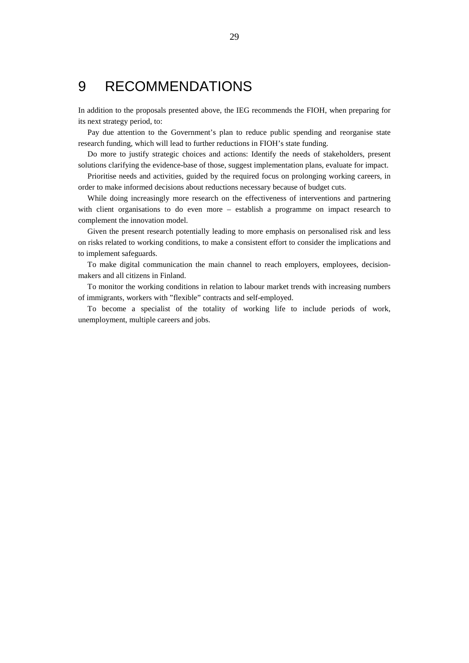## 9 RECOMMENDATIONS

In addition to the proposals presented above, the IEG recommends the FIOH, when preparing for its next strategy period, to:

Pay due attention to the Government's plan to reduce public spending and reorganise state research funding, which will lead to further reductions in FIOH's state funding.

Do more to justify strategic choices and actions: Identify the needs of stakeholders, present solutions clarifying the evidence-base of those, suggest implementation plans, evaluate for impact.

Prioritise needs and activities, guided by the required focus on prolonging working careers, in order to make informed decisions about reductions necessary because of budget cuts.

While doing increasingly more research on the effectiveness of interventions and partnering with client organisations to do even more – establish a programme on impact research to complement the innovation model.

Given the present research potentially leading to more emphasis on personalised risk and less on risks related to working conditions, to make a consistent effort to consider the implications and to implement safeguards.

To make digital communication the main channel to reach employers, employees, decisionmakers and all citizens in Finland.

To monitor the working conditions in relation to labour market trends with increasing numbers of immigrants, workers with "flexible" contracts and self-employed.

To become a specialist of the totality of working life to include periods of work, unemployment, multiple careers and jobs.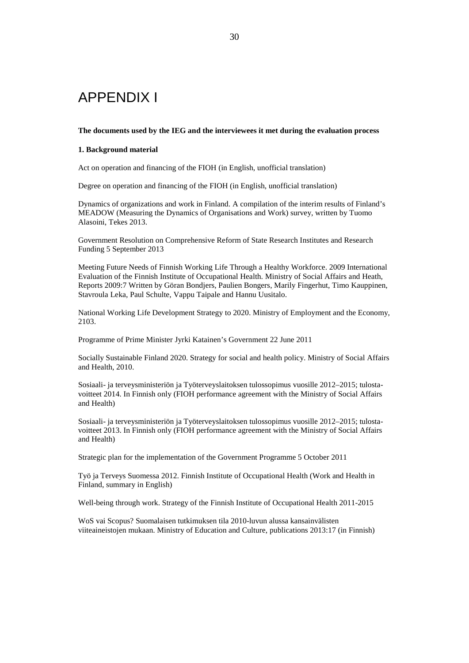## APPENDIX I

#### **The documents used by the IEG and the interviewees it met during the evaluation process**

#### **1. Background material**

Act on operation and financing of the FIOH (in English, unofficial translation)

Degree on operation and financing of the FIOH (in English, unofficial translation)

Dynamics of organizations and work in Finland. A compilation of the interim results of Finland's MEADOW (Measuring the Dynamics of Organisations and Work) survey, written by Tuomo Alasoini, Tekes 2013.

Government Resolution on Comprehensive Reform of State Research Institutes and Research Funding 5 September 2013

Meeting Future Needs of Finnish Working Life Through a Healthy Workforce. 2009 International Evaluation of the Finnish Institute of Occupational Health. Ministry of Social Affairs and Heath, Reports 2009:7 Written by Göran Bondjers, Paulien Bongers, Marily Fingerhut, Timo Kauppinen, Stavroula Leka, Paul Schulte, Vappu Taipale and Hannu Uusitalo.

National Working Life Development Strategy to 2020. Ministry of Employment and the Economy, 2103.

Programme of Prime Minister Jyrki Katainen's Government 22 June 2011

Socially Sustainable Finland 2020. Strategy for social and health policy. Ministry of Social Affairs and Health, 2010.

Sosiaali- ja terveysministeriön ja Työterveyslaitoksen tulossopimus vuosille 2012–2015; tulostavoitteet 2014. In Finnish only (FIOH performance agreement with the Ministry of Social Affairs and Health)

Sosiaali- ja terveysministeriön ja Työterveyslaitoksen tulossopimus vuosille 2012–2015; tulostavoitteet 2013. In Finnish only (FIOH performance agreement with the Ministry of Social Affairs and Health)

Strategic plan for the implementation of the Government Programme 5 October 2011

Työ ja Terveys Suomessa 2012. Finnish Institute of Occupational Health (Work and Health in Finland, summary in English)

Well-being through work. Strategy of the Finnish Institute of Occupational Health 2011-2015

WoS vai Scopus? Suomalaisen tutkimuksen tila 2010-luvun alussa kansainvälisten viiteaineistojen mukaan. Ministry of Education and Culture, publications 2013:17 (in Finnish)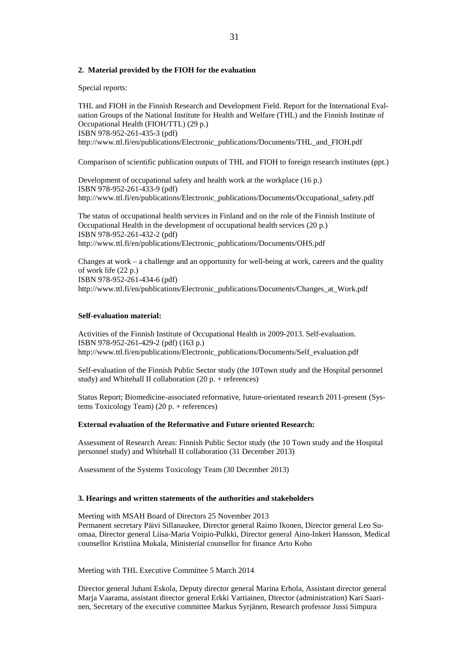#### **2. Material provided by the FIOH for the evaluation**

Special reports:

THL and FIOH in the Finnish Research and Development Field. Report for the International Evaluation Groups of the National Institute for Health and Welfare (THL) and the Finnish Institute of Occupational Health (FIOH/TTL) (29 p.) ISBN 978-952-261-435-3 (pdf) http://www.ttl.fi/en/publications/Electronic\_publications/Documents/THL\_and\_FIOH.pdf

Comparison of scientific publication outputs of THL and FIOH to foreign research institutes (ppt.)

Development of occupational safety and health work at the workplace (16 p.) ISBN 978-952-261-433-9 (pdf) http://www.ttl.fi/en/publications/Electronic\_publications/Documents/Occupational\_safety.pdf

The status of occupational health services in Finland and on the role of the Finnish Institute of Occupational Health in the development of occupational health services (20 p.) ISBN 978-952-261-432-2 (pdf) http://www.ttl.fi/en/publications/Electronic\_publications/Documents/OHS.pdf

Changes at work – a challenge and an opportunity for well-being at work, careers and the quality of work life (22 p.) ISBN 978-952-261-434-6 (pdf) http://www.ttl.fi/en/publications/Electronic\_publications/Documents/Changes\_at\_Work.pdf

#### **Self-evaluation material:**

Activities of the Finnish Institute of Occupational Health in 2009-2013. Self-evaluation. ISBN 978-952-261-429-2 (pdf) (163 p.) http://www.ttl.fi/en/publications/Electronic\_publications/Documents/Self\_evaluation.pdf

Self-evaluation of the Finnish Public Sector study (the 10Town study and the Hospital personnel study) and Whitehall II collaboration (20 p. + references)

Status Report; Biomedicine-associated reformative, future-orientated research 2011-present (Systems Toxicology Team) (20 p. + references)

#### **External evaluation of the Reformative and Future oriented Research:**

Assessment of Research Areas: Finnish Public Sector study (the 10 Town study and the Hospital personnel study) and Whitehall II collaboration (31 December 2013)

Assessment of the Systems Toxicology Team (30 December 2013)

#### **3. Hearings and written statements of the authorities and stakeholders**

Meeting with MSAH Board of Directors 25 November 2013 Permanent secretary Päivi Sillanaukee, Director general Raimo Ikonen, Director general Leo Suomaa, Director general Liisa-Maria Voipio-Pulkki, Director general Aino-Inkeri Hansson, Medical counsellor Kristiina Mukala, Ministerial counsellor for finance Arto Koho

Meeting with THL Executive Committee 5 March 2014

Director general Juhani Eskola, Deputy director general Marina Erhola, Assistant director general Marja Vaarama, assistant director general Erkki Vartiainen, Director (administration) Kari Saarinen, Secretary of the executive committee Markus Syrjänen, Research professor Jussi Simpura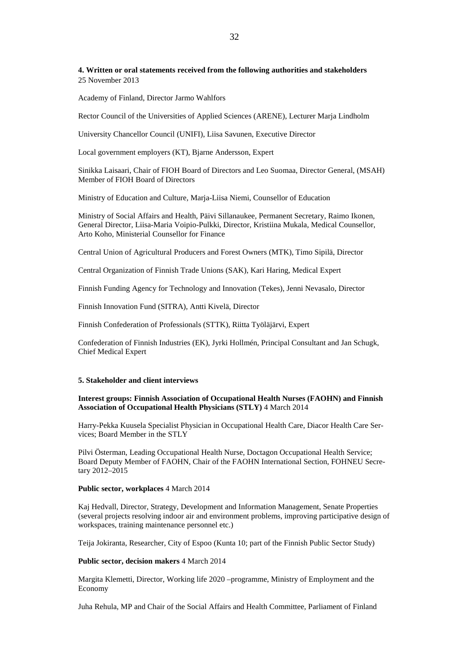**4. Written or oral statements received from the following authorities and stakeholders**  25 November 2013

Academy of Finland, Director Jarmo Wahlfors

Rector Council of the Universities of Applied Sciences (ARENE), Lecturer Marja Lindholm

University Chancellor Council (UNIFI), Liisa Savunen, Executive Director

Local government employers (KT), Bjarne Andersson, Expert

Sinikka Laisaari, Chair of FIOH Board of Directors and Leo Suomaa, Director General, (MSAH) Member of FIOH Board of Directors

Ministry of Education and Culture, Marja-Liisa Niemi, Counsellor of Education

Ministry of Social Affairs and Health, Päivi Sillanaukee, Permanent Secretary, Raimo Ikonen, General Director, Liisa-Maria Voipio-Pulkki, Director, Kristiina Mukala, Medical Counsellor, Arto Koho, Ministerial Counsellor for Finance

Central Union of Agricultural Producers and Forest Owners (MTK), Timo Sipilä, Director

Central Organization of Finnish Trade Unions (SAK), Kari Haring, Medical Expert

Finnish Funding Agency for Technology and Innovation (Tekes), Jenni Nevasalo, Director

Finnish Innovation Fund (SITRA), Antti Kivelä, Director

Finnish Confederation of Professionals (STTK), Riitta Työläjärvi, Expert

Confederation of Finnish Industries (EK), Jyrki Hollmén, Principal Consultant and Jan Schugk, Chief Medical Expert

#### **5. Stakeholder and client interviews**

#### **Interest groups: Finnish Association of Occupational Health Nurses (FAOHN) and Finnish Association of Occupational Health Physicians (STLY)** 4 March 2014

Harry-Pekka Kuusela Specialist Physician in Occupational Health Care, Diacor Health Care Services; Board Member in the STLY

Pilvi Österman, Leading Occupational Health Nurse, Doctagon Occupational Health Service; Board Deputy Member of FAOHN, Chair of the FAOHN International Section, FOHNEU Secretary 2012–2015

#### **Public sector, workplaces** 4 March 2014

Kaj Hedvall, Director, Strategy, Development and Information Management, Senate Properties (several projects resolving indoor air and environment problems, improving participative design of workspaces, training maintenance personnel etc.)

Teija Jokiranta, Researcher, City of Espoo (Kunta 10; part of the Finnish Public Sector Study)

#### **Public sector, decision makers** 4 March 2014

Margita Klemetti, Director, Working life 2020 –programme, Ministry of Employment and the Economy

Juha Rehula, MP and Chair of the Social Affairs and Health Committee, Parliament of Finland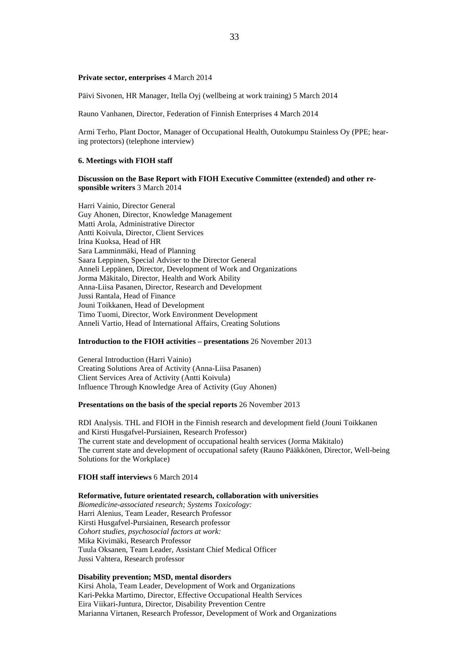#### **Private sector, enterprises** 4 March 2014

Päivi Sivonen, HR Manager, Itella Oyj (wellbeing at work training) 5 March 2014

Rauno Vanhanen, Director, Federation of Finnish Enterprises 4 March 2014

Armi Terho, Plant Doctor, Manager of Occupational Health, Outokumpu Stainless Oy (PPE; hearing protectors) (telephone interview)

#### **6. Meetings with FIOH staff**

#### **Discussion on the Base Report with FIOH Executive Committee (extended) and other responsible writers** 3 March 2014

Harri Vainio, Director General Guy Ahonen, Director, Knowledge Management Matti Arola, Administrative Director Antti Koivula, Director, Client Services Irina Kuoksa, Head of HR Sara Lamminmäki, Head of Planning Saara Leppinen, Special Adviser to the Director General Anneli Leppänen, Director, Development of Work and Organizations Jorma Mäkitalo, Director, Health and Work Ability Anna-Liisa Pasanen, Director, Research and Development Jussi Rantala, Head of Finance Jouni Toikkanen, Head of Development Timo Tuomi, Director, Work Environment Development Anneli Vartio, Head of International Affairs, Creating Solutions

#### **Introduction to the FIOH activities – presentations** 26 November 2013

General Introduction (Harri Vainio) Creating Solutions Area of Activity (Anna-Liisa Pasanen) Client Services Area of Activity (Antti Koivula) Influence Through Knowledge Area of Activity (Guy Ahonen)

### **Presentations on the basis of the special reports** 26 November 2013

RDI Analysis. THL and FIOH in the Finnish research and development field (Jouni Toikkanen and Kirsti Husgafvel-Pursiainen, Research Professor) The current state and development of occupational health services (Jorma Mäkitalo) The current state and development of occupational safety (Rauno Pääkkönen, Director, Well-being Solutions for the Workplace)

#### **FIOH staff interviews** 6 March 2014

#### **Reformative, future orientated research, collaboration with universities**

*Biomedicine-associated research; Systems Toxicology:* Harri Alenius, Team Leader, Research Professor Kirsti Husgafvel-Pursiainen, Research professor *Cohort studies, psychosocial factors at work:* Mika Kivimäki, Research Professor Tuula Oksanen, Team Leader, Assistant Chief Medical Officer Jussi Vahtera, Research professor

#### **Disability prevention; MSD, mental disorders**

Kirsi Ahola, Team Leader, Development of Work and Organizations Kari-Pekka Martimo, Director, Effective Occupational Health Services Eira Viikari-Juntura, Director, Disability Prevention Centre Marianna Virtanen, Research Professor, Development of Work and Organizations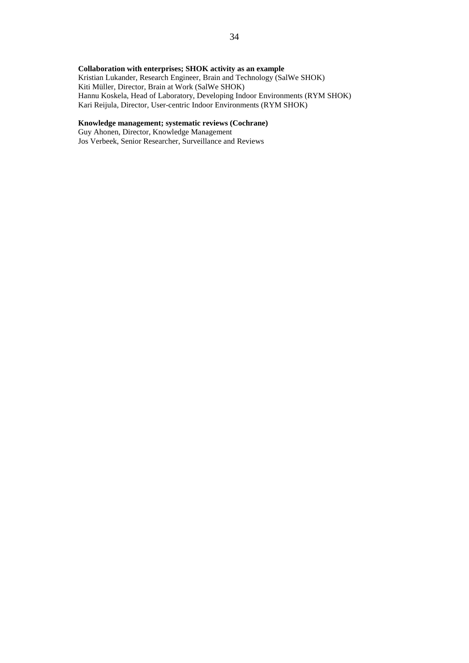### **Collaboration with enterprises; SHOK activity as an example**

Kristian Lukander, Research Engineer, Brain and Technology (SalWe SHOK) Kiti Müller, Director, Brain at Work (SalWe SHOK) Hannu Koskela, Head of Laboratory, Developing Indoor Environments (RYM SHOK) Kari Reijula, Director, User-centric Indoor Environments (RYM SHOK)

#### **Knowledge management; systematic reviews (Cochrane)**

Guy Ahonen, Director, Knowledge Management Jos Verbeek, Senior Researcher, Surveillance and Reviews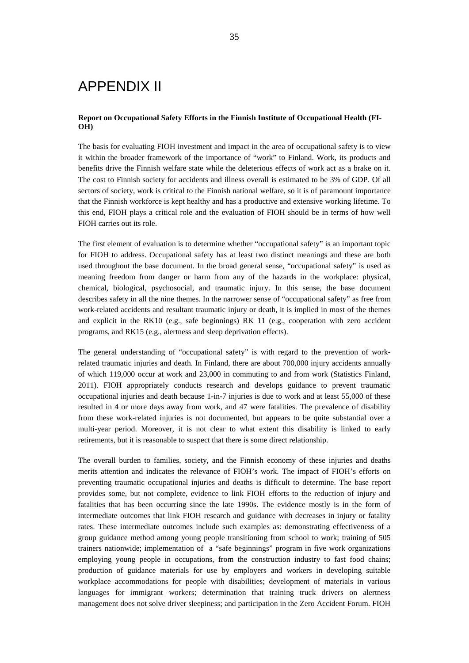## APPENDIX II

#### **Report on Occupational Safety Efforts in the Finnish Institute of Occupational Health (FI-OH)**

The basis for evaluating FIOH investment and impact in the area of occupational safety is to view it within the broader framework of the importance of "work" to Finland. Work, its products and benefits drive the Finnish welfare state while the deleterious effects of work act as a brake on it. The cost to Finnish society for accidents and illness overall is estimated to be 3% of GDP. Of all sectors of society, work is critical to the Finnish national welfare, so it is of paramount importance that the Finnish workforce is kept healthy and has a productive and extensive working lifetime. To this end, FIOH plays a critical role and the evaluation of FIOH should be in terms of how well FIOH carries out its role.

The first element of evaluation is to determine whether "occupational safety" is an important topic for FIOH to address. Occupational safety has at least two distinct meanings and these are both used throughout the base document. In the broad general sense, "occupational safety" is used as meaning freedom from danger or harm from any of the hazards in the workplace: physical, chemical, biological, psychosocial, and traumatic injury. In this sense, the base document describes safety in all the nine themes. In the narrower sense of "occupational safety" as free from work-related accidents and resultant traumatic injury or death, it is implied in most of the themes and explicit in the RK10 (e.g., safe beginnings) RK 11 (e.g., cooperation with zero accident programs, and RK15 (e.g., alertness and sleep deprivation effects).

The general understanding of "occupational safety" is with regard to the prevention of workrelated traumatic injuries and death. In Finland, there are about 700,000 injury accidents annually of which 119,000 occur at work and 23,000 in commuting to and from work (Statistics Finland, 2011). FIOH appropriately conducts research and develops guidance to prevent traumatic occupational injuries and death because 1-in-7 injuries is due to work and at least 55,000 of these resulted in 4 or more days away from work, and 47 were fatalities. The prevalence of disability from these work-related injuries is not documented, but appears to be quite substantial over a multi-year period. Moreover, it is not clear to what extent this disability is linked to early retirements, but it is reasonable to suspect that there is some direct relationship.

The overall burden to families, society, and the Finnish economy of these injuries and deaths merits attention and indicates the relevance of FIOH's work. The impact of FIOH's efforts on preventing traumatic occupational injuries and deaths is difficult to determine. The base report provides some, but not complete, evidence to link FIOH efforts to the reduction of injury and fatalities that has been occurring since the late 1990s. The evidence mostly is in the form of intermediate outcomes that link FIOH research and guidance with decreases in injury or fatality rates. These intermediate outcomes include such examples as: demonstrating effectiveness of a group guidance method among young people transitioning from school to work; training of 505 trainers nationwide; implementation of a "safe beginnings" program in five work organizations employing young people in occupations, from the construction industry to fast food chains; production of guidance materials for use by employers and workers in developing suitable workplace accommodations for people with disabilities; development of materials in various languages for immigrant workers; determination that training truck drivers on alertness management does not solve driver sleepiness; and participation in the Zero Accident Forum. FIOH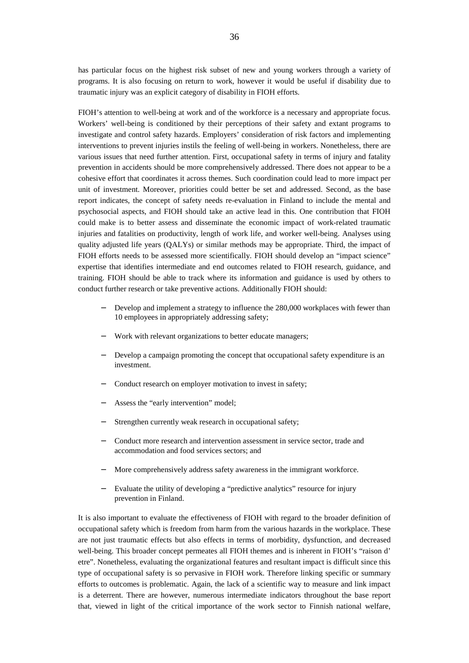has particular focus on the highest risk subset of new and young workers through a variety of programs. It is also focusing on return to work, however it would be useful if disability due to traumatic injury was an explicit category of disability in FIOH efforts.

FIOH's attention to well-being at work and of the workforce is a necessary and appropriate focus. Workers' well-being is conditioned by their perceptions of their safety and extant programs to investigate and control safety hazards. Employers' consideration of risk factors and implementing interventions to prevent injuries instils the feeling of well-being in workers. Nonetheless, there are various issues that need further attention. First, occupational safety in terms of injury and fatality prevention in accidents should be more comprehensively addressed. There does not appear to be a cohesive effort that coordinates it across themes. Such coordination could lead to more impact per unit of investment. Moreover, priorities could better be set and addressed. Second, as the base report indicates, the concept of safety needs re-evaluation in Finland to include the mental and psychosocial aspects, and FIOH should take an active lead in this. One contribution that FIOH could make is to better assess and disseminate the economic impact of work-related traumatic injuries and fatalities on productivity, length of work life, and worker well-being. Analyses using quality adjusted life years (QALYs) or similar methods may be appropriate. Third, the impact of FIOH efforts needs to be assessed more scientifically. FIOH should develop an "impact science" expertise that identifies intermediate and end outcomes related to FIOH research, guidance, and training. FIOH should be able to track where its information and guidance is used by others to conduct further research or take preventive actions. Additionally FIOH should:

- Develop and implement a strategy to influence the 280,000 workplaces with fewer than 10 employees in appropriately addressing safety;
- Work with relevant organizations to better educate managers;
- Develop a campaign promoting the concept that occupational safety expenditure is an investment.
- Conduct research on employer motivation to invest in safety;
- Assess the "early intervention" model;
- Strengthen currently weak research in occupational safety;
- Conduct more research and intervention assessment in service sector, trade and accommodation and food services sectors; and
- More comprehensively address safety awareness in the immigrant workforce.
- Evaluate the utility of developing a "predictive analytics" resource for injury prevention in Finland.

It is also important to evaluate the effectiveness of FIOH with regard to the broader definition of occupational safety which is freedom from harm from the various hazards in the workplace. These are not just traumatic effects but also effects in terms of morbidity, dysfunction, and decreased well-being. This broader concept permeates all FIOH themes and is inherent in FIOH's "raison d' etre". Nonetheless, evaluating the organizational features and resultant impact is difficult since this type of occupational safety is so pervasive in FIOH work. Therefore linking specific or summary efforts to outcomes is problematic. Again, the lack of a scientific way to measure and link impact is a deterrent. There are however, numerous intermediate indicators throughout the base report that, viewed in light of the critical importance of the work sector to Finnish national welfare,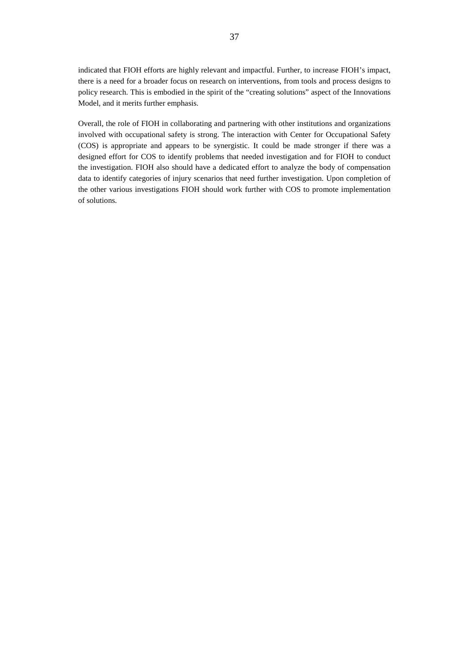indicated that FIOH efforts are highly relevant and impactful. Further, to increase FIOH's impact, there is a need for a broader focus on research on interventions, from tools and process designs to policy research. This is embodied in the spirit of the "creating solutions" aspect of the Innovations Model, and it merits further emphasis.

Overall, the role of FIOH in collaborating and partnering with other institutions and organizations involved with occupational safety is strong. The interaction with Center for Occupational Safety (COS) is appropriate and appears to be synergistic. It could be made stronger if there was a designed effort for COS to identify problems that needed investigation and for FIOH to conduct the investigation. FIOH also should have a dedicated effort to analyze the body of compensation data to identify categories of injury scenarios that need further investigation. Upon completion of the other various investigations FIOH should work further with COS to promote implementation of solutions.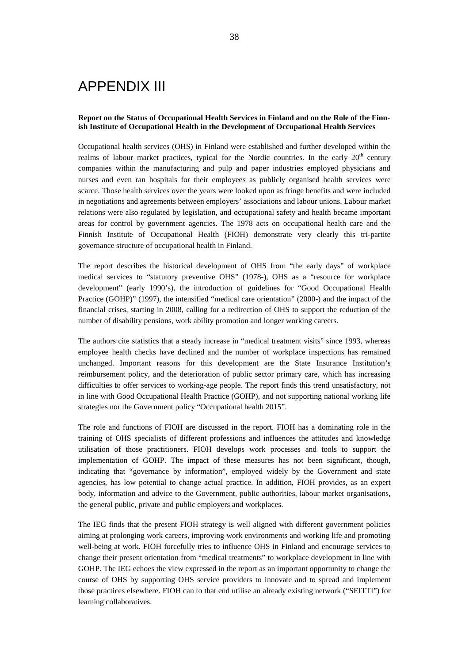## APPENDIX III

#### **Report on the Status of Occupational Health Services in Finland and on the Role of the Finnish Institute of Occupational Health in the Development of Occupational Health Services**

Occupational health services (OHS) in Finland were established and further developed within the realms of labour market practices, typical for the Nordic countries. In the early  $20<sup>th</sup>$  century companies within the manufacturing and pulp and paper industries employed physicians and nurses and even ran hospitals for their employees as publicly organised health services were scarce. Those health services over the years were looked upon as fringe benefits and were included in negotiations and agreements between employers' associations and labour unions. Labour market relations were also regulated by legislation, and occupational safety and health became important areas for control by government agencies. The 1978 acts on occupational health care and the Finnish Institute of Occupational Health (FIOH) demonstrate very clearly this tri-partite governance structure of occupational health in Finland.

The report describes the historical development of OHS from "the early days" of workplace medical services to "statutory preventive OHS" (1978-), OHS as a "resource for workplace development" (early 1990's), the introduction of guidelines for "Good Occupational Health Practice (GOHP)" (1997), the intensified "medical care orientation" (2000-) and the impact of the financial crises, starting in 2008, calling for a redirection of OHS to support the reduction of the number of disability pensions, work ability promotion and longer working careers.

The authors cite statistics that a steady increase in "medical treatment visits" since 1993, whereas employee health checks have declined and the number of workplace inspections has remained unchanged. Important reasons for this development are the State Insurance Institution's reimbursement policy, and the deterioration of public sector primary care, which has increasing difficulties to offer services to working-age people. The report finds this trend unsatisfactory, not in line with Good Occupational Health Practice (GOHP), and not supporting national working life strategies nor the Government policy "Occupational health 2015".

The role and functions of FIOH are discussed in the report. FIOH has a dominating role in the training of OHS specialists of different professions and influences the attitudes and knowledge utilisation of those practitioners. FIOH develops work processes and tools to support the implementation of GOHP. The impact of these measures has not been significant, though, indicating that "governance by information", employed widely by the Government and state agencies, has low potential to change actual practice. In addition, FIOH provides, as an expert body, information and advice to the Government, public authorities, labour market organisations, the general public, private and public employers and workplaces.

The IEG finds that the present FIOH strategy is well aligned with different government policies aiming at prolonging work careers, improving work environments and working life and promoting well-being at work. FIOH forcefully tries to influence OHS in Finland and encourage services to change their present orientation from "medical treatments" to workplace development in line with GOHP. The IEG echoes the view expressed in the report as an important opportunity to change the course of OHS by supporting OHS service providers to innovate and to spread and implement those practices elsewhere. FIOH can to that end utilise an already existing network ("SEITTI") for learning collaboratives.